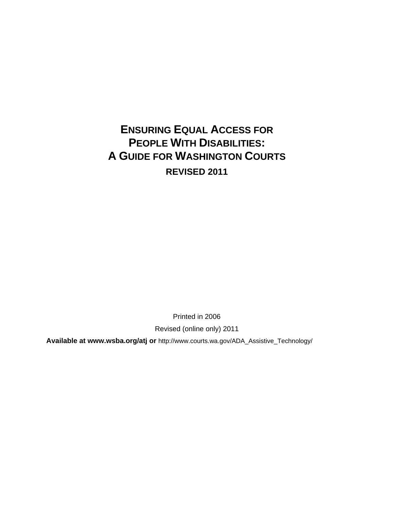# **ENSURING EQUAL ACCESS FOR PEOPLE WITH DISABILITIES: A GUIDE FOR WASHINGTON COURTS REVISED 2011**

Printed in 2006

Revised (online only) 2011

**Available at [www.wsba.org/atj](http://www.wsba.org/atj) or** [http://www.courts.wa.gov/ADA\\_Assistive\\_Technology/](http://www.courts.wa.gov/ADA_Assistive_Technology/)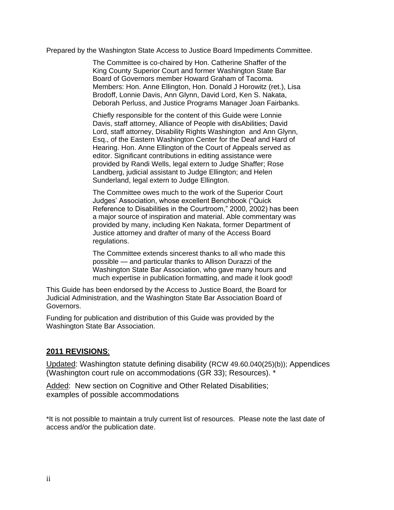Prepared by the Washington State Access to Justice Board Impediments Committee.

The Committee is co-chaired by Hon. Catherine Shaffer of the King County Superior Court and former Washington State Bar Board of Governors member Howard Graham of Tacoma. Members: Hon. Anne Ellington, Hon. Donald J Horowitz (ret.), Lisa Brodoff, Lonnie Davis, Ann Glynn, David Lord, Ken S. Nakata, Deborah Perluss, and Justice Programs Manager Joan Fairbanks.

Chiefly responsible for the content of this Guide were Lonnie Davis, staff attorney, Alliance of People with disAbilities; David Lord, staff attorney, Disability Rights Washington and Ann Glynn, Esq., of the Eastern Washington Center for the Deaf and Hard of Hearing. Hon. Anne Ellington of the Court of Appeals served as editor. Significant contributions in editing assistance were provided by Randi Wells, legal extern to Judge Shaffer; Rose Landberg, judicial assistant to Judge Ellington; and Helen Sunderland, legal extern to Judge Ellington.

The Committee owes much to the work of the Superior Court Judges' Association, whose excellent Benchbook ("Quick Reference to Disabilities in the Courtroom," 2000, 2002) has been a major source of inspiration and material. Able commentary was provided by many, including Ken Nakata, former Department of Justice attorney and drafter of many of the Access Board regulations.

The Committee extends sincerest thanks to all who made this possible — and particular thanks to Allison Durazzi of the Washington State Bar Association, who gave many hours and much expertise in publication formatting, and made it look good!

This Guide has been endorsed by the Access to Justice Board, the Board for Judicial Administration, and the Washington State Bar Association Board of Governors.

Funding for publication and distribution of this Guide was provided by the Washington State Bar Association.

#### **2011 REVISIONS**:

Updated: Washington statute defining disability (RCW 49.60.040(25)(b)); Appendices (Washington court rule on accommodations (GR 33); Resources). \*

Added: New section on Cognitive and Other Related Disabilities; examples of possible accommodations

\*It is not possible to maintain a truly current list of resources. Please note the last date of access and/or the publication date.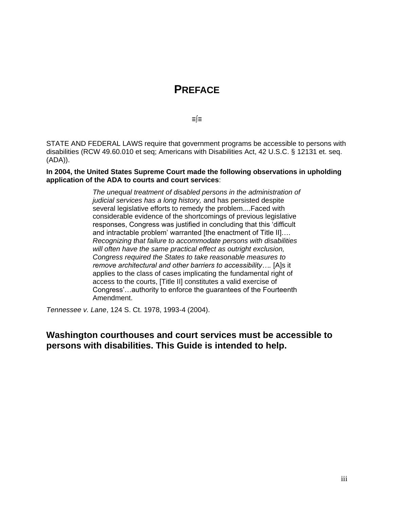# **PREFACE**

≡∫≡

<span id="page-2-0"></span>STATE AND FEDERAL LAWS require that government programs be accessible to persons with disabilities (RCW 49.60.010 et seq; Americans with Disabilities Act, 42 U.S.C. § 12131 et. seq. (ADA)).

**In 2004, the United States Supreme Court made the following observations in upholding application of the ADA to courts and court services**:

> *The unequal treatment of disabled persons in the administration of judicial services has a long history,* and has persisted despite several legislative efforts to remedy the problem....Faced with considerable evidence of the shortcomings of previous legislative responses, Congress was justified in concluding that this 'difficult and intractable problem' warranted [the enactment of Title II]…. *Recognizing that failure to accommodate persons with disabilities will often have the same practical effect as outright exclusion, Congress required the States to take reasonable measures to remove architectural and other barriers to accessibility….* [A]s it applies to the class of cases implicating the fundamental right of access to the courts, [Title II] constitutes a valid exercise of Congress'…authority to enforce the guarantees of the Fourteenth Amendment.

*Tennessee v. Lane*, 124 S. Ct. 1978, 1993-4 (2004).

## **Washington courthouses and court services must be accessible to persons with disabilities. This Guide is intended to help.**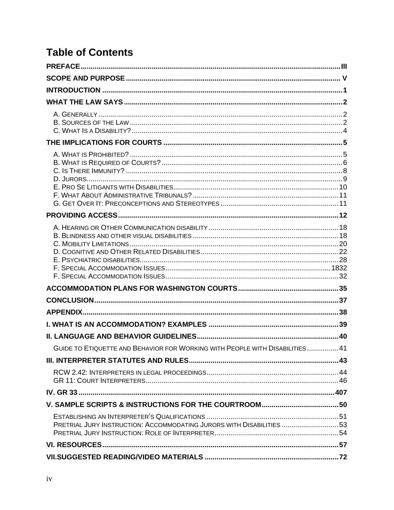# **Table of Contents**

| GUIDE TO ETIQUETTE AND BEHAVIOR FOR WORKING WITH PEOPLE WITH DISABILITIES41 |  |
|-----------------------------------------------------------------------------|--|
|                                                                             |  |
|                                                                             |  |
|                                                                             |  |
|                                                                             |  |
| PRETRIAL JURY INSTRUCTION: ACCOMMODATING JURORS WITH DISABILITIES 53        |  |
|                                                                             |  |
|                                                                             |  |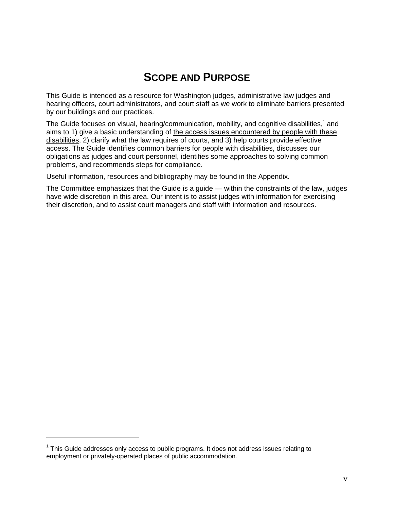# **SCOPE AND PURPOSE**

<span id="page-4-0"></span>This Guide is intended as a resource for Washington judges, administrative law judges and hearing officers, court administrators, and court staff as we work to eliminate barriers presented by our buildings and our practices.

The Guide focuses on visual, hearing/communication, mobility, and cognitive disabilities, $<sup>1</sup>$  and</sup> aims to 1) give a basic understanding of the access issues encountered by people with these disabilities, 2) clarify what the law requires of courts, and 3) help courts provide effective access. The Guide identifies common barriers for people with disabilities, discusses our obligations as judges and court personnel, identifies some approaches to solving common problems, and recommends steps for compliance.

Useful information, resources and bibliography may be found in the Appendix.

The Committee emphasizes that the Guide is a guide — within the constraints of the law, judges have wide discretion in this area. Our intent is to assist judges with information for exercising their discretion, and to assist court managers and staff with information and resources.

 $1$  This Guide addresses only access to public programs. It does not address issues relating to employment or privately-operated places of public accommodation.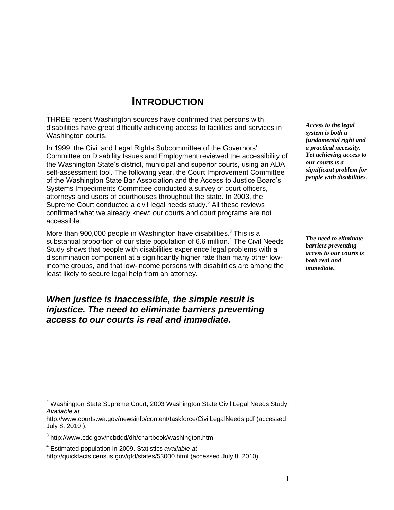# **INTRODUCTION**

<span id="page-6-0"></span>THREE recent Washington sources have confirmed that persons with disabilities have great difficulty achieving access to facilities and services in Washington courts.

In 1999, the Civil and Legal Rights Subcommittee of the Governors' Committee on Disability Issues and Employment reviewed the accessibility of the Washington State's district, municipal and superior courts, using an ADA self-assessment tool. The following year, the Court Improvement Committee of the Washington State Bar Association and the Access to Justice Board's Systems Impediments Committee conducted a survey of court officers, attorneys and users of courthouses throughout the state. In 2003, the Supreme Court conducted a civil legal needs study.<sup>2</sup> All these reviews confirmed what we already knew: our courts and court programs are not accessible.

More than 900,000 people in Washington have disabilities. $3$  This is a substantial proportion of our state population of 6.6 million. <sup>4</sup> The Civil Needs Study shows that people with disabilities experience legal problems with a discrimination component at a significantly higher rate than many other lowincome groups, and that low-income persons with disabilities are among the least likely to secure legal help from an attorney.

## *When justice is inaccessible, the simple result is injustice. The need to eliminate barriers preventing access to our courts is real and immediate.*

*Access to the legal system is both a fundamental right and a practical necessity. Yet achieving access to our courts is a significant problem for people with disabilities.*

*The need to eliminate barriers preventing access to our courts is both real and immediate.*

<sup>&</sup>lt;sup>2</sup> Washington State Supreme Court, 2003 Washington State Civil Legal Needs Study. *Available at*

<http://www.courts.wa.gov/newsinfo/content/taskforce/CivilLegalNeeds.pdf> (accessed July 8, 2010.).

 $^3$  http://www.cdc.gov/ncbddd/dh/chartbook/washington.htm

<sup>4</sup> Estimated population in 2009. Statistics *available at* <http://quickfacts.census.gov/qfd/states/53000.html> (accessed July 8, 2010).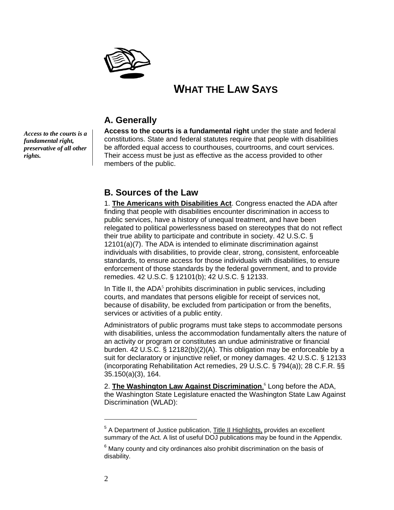

# **WHAT THE LAW SAYS**

# <span id="page-7-1"></span><span id="page-7-0"></span>**A. Generally**

*Access to the courts is a fundamental right, preservative of all other rights.*

**Access to the courts is a fundamental right** under the state and federal constitutions. State and federal statutes require that people with disabilities be afforded equal access to courthouses, courtrooms, and court services. Their access must be just as effective as the access provided to other members of the public.

## <span id="page-7-2"></span>**B. Sources of the Law**

1. **The Americans with Disabilities Act**. Congress enacted the ADA after finding that people with disabilities encounter discrimination in access to public services, have a history of unequal treatment, and have been relegated to political powerlessness based on stereotypes that do not reflect their true ability to participate and contribute in society. 42 U.S.C. § 12101(a)(7). The ADA is intended to eliminate discrimination against individuals with disabilities, to provide clear, strong, consistent, enforceable standards, to ensure access for those individuals with disabilities, to ensure enforcement of those standards by the federal government, and to provide remedies. 42 U.S.C. § 12101(b); 42 U.S.C. § 12133.

In Title II, the  $ADA<sup>5</sup>$  prohibits discrimination in public services, including courts, and mandates that persons eligible for receipt of services not, because of disability, be excluded from participation or from the benefits, services or activities of a public entity.

Administrators of public programs must take steps to accommodate persons with disabilities, unless the accommodation fundamentally alters the nature of an activity or program or constitutes an undue administrative or financial burden. 42 U.S.C. § 12182(b)(2)(A). This obligation may be enforceable by a suit for declaratory or injunctive relief, or money damages. 42 U.S.C. § 12133 (incorporating Rehabilitation Act remedies, 29 U.S.C. § 794(a)); 28 C.F.R. §§ 35.150(a)(3), 164.

2. **The Washington Law Against Discrimination**. <sup>6</sup> Long before the ADA, the Washington State Legislature enacted the Washington State Law Against Discrimination (WLAD):

 $5$  A Department of Justice publication, Title II Highlights, provides an excellent summary of the Act. A list of useful DOJ publications may be found in the Appendix.

 $6$  Many county and city ordinances also prohibit discrimination on the basis of disability.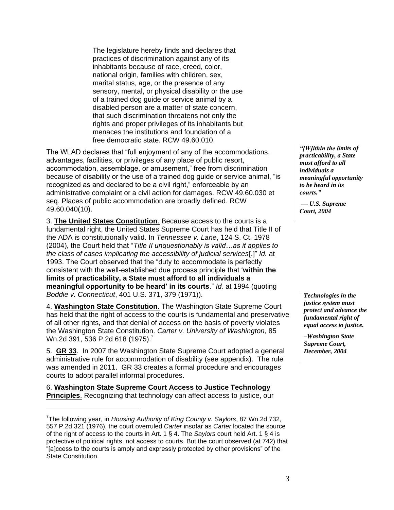The legislature hereby finds and declares that practices of discrimination against any of its inhabitants because of race, creed, color, national origin, families with children, sex, marital status, age, or the presence of any sensory, mental, or physical disability or the use of a trained dog guide or service animal by a disabled person are a matter of state concern, that such discrimination threatens not only the rights and proper privileges of its inhabitants but menaces the institutions and foundation of a free democratic state. RCW 49.60.010.

The WLAD declares that "full enjoyment of any of the accommodations, advantages, facilities, or privileges of any place of public resort, accommodation, assemblage, or amusement," free from discrimination because of disability or the use of a trained dog guide or service animal, "is recognized as and declared to be a civil right," enforceable by an administrative complaint or a civil action for damages. RCW 49.60.030 et seq. Places of public accommodation are broadly defined. RCW 49.60.040(10).

3. **The United States Constitution**. Because access to the courts is a fundamental right, the United States Supreme Court has held that Title II of the ADA is constitutionally valid. In *Tennessee v. Lane*, 124 S. Ct. 1978 (2004), the Court held that "Title II unquestionably is valid...as it applies to *the class of cases implicating the accessibility of judicial services*[.]‖ *Id.* at 1993. The Court observed that the "duty to accommodate is perfectly consistent with the well-established due process principle that ‗**within the limits of practicability, a State must afford to all individuals a meaningful opportunity to be heard' in its courts**.‖ *Id.* at 1994 (quoting *Boddie v. Connecticut*, 401 U.S. 371, 379 (1971)).

4. **Washington State Constitution**. The Washington State Supreme Court has held that the right of access to the courts is fundamental and preservative of all other rights, and that denial of access on the basis of poverty violates the Washington State Constitution. *Carter v. University of Washington*, 85 Wn.2d 391, 536 P.2d 618 (1975).<sup>7</sup>

5. **GR 33**. In 2007 the Washington State Supreme Court adopted a general administrative rule for accommodation of disability (see appendix). The rule was amended in 2011. GR 33 creates a formal procedure and encourages courts to adopt parallel informal procedures.

6. **Washington State Supreme Court Access to Justice Technology Principles**. Recognizing that technology can affect access to justice, our

 $\overline{a}$ 

*―[W]ithin the limits of practicability, a State must afford to all individuals a meaningful opportunity to be heard in its courts.‖* 

*— U.S. Supreme Court, 2004*

*Technologies in the justice system must protect and advance the fundamental right of equal access to justice.*

*–Washington State Supreme Court, December, 2004*

<sup>7</sup> The following year, in *Housing Authority of King County v. Saylors*, 87 Wn.2d 732, 557 P.2d 321 (1976), the court overruled *Carter* insofar as *Carter* located the source of the right of access to the courts in Art. 1 § 4. The *Saylors* court held Art. 1 § 4 is protective of political rights, not access to courts. But the court observed (at 742) that ―[a]ccess to the courts is amply and expressly protected by other provisions‖ of the State Constitution.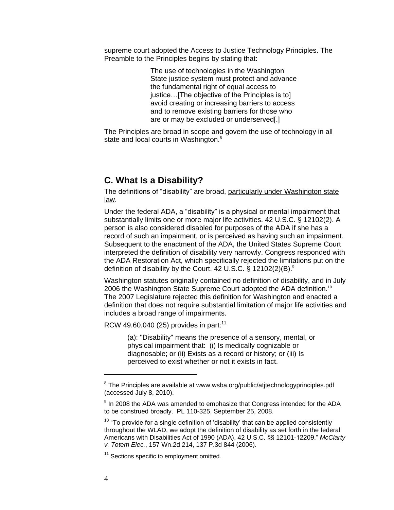supreme court adopted the Access to Justice Technology Principles. The Preamble to the Principles begins by stating that:

> The use of technologies in the Washington State justice system must protect and advance the fundamental right of equal access to justice…[The objective of the Principles is to] avoid creating or increasing barriers to access and to remove existing barriers for those who are or may be excluded or underserved[.]

The Principles are broad in scope and govern the use of technology in all state and local courts in Washington.<sup>8</sup>

## <span id="page-9-0"></span>**C. What Is a Disability?**

The definitions of "disability" are broad, particularly under Washington state law.

Under the federal ADA, a "disability" is a physical or mental impairment that substantially limits one or more major life activities. 42 U.S.C. § 12102(2). A person is also considered disabled for purposes of the ADA if she has a record of such an impairment, or is perceived as having such an impairment. Subsequent to the enactment of the ADA, the United States Supreme Court interpreted the definition of disability very narrowly. Congress responded with the ADA Restoration Act, which specifically rejected the limitations put on the definition of disability by the Court. 42 U.S.C. § 12102(2)(B).<sup>9</sup>

Washington statutes originally contained no definition of disability, and in July 2006 the Washington State Supreme Court adopted the ADA definition.<sup>10</sup> The 2007 Legislature rejected this definition for Washington and enacted a definition that does not require substantial limitation of major life activities and includes a broad range of impairments.

RCW 49.60.040 (25) provides in part:<sup>11</sup>

(a): "Disability" means the presence of a sensory, mental, or physical impairment that: (i) Is medically cognizable or diagnosable; or (ii) Exists as a record or history; or (iii) Is perceived to exist whether or not it exists in fact.

 $\overline{a}$ 

 $8$  The Principles are available at www.wsba.org/public/atjtechnologyprinciples.pdf (accessed July 8, 2010).

 $9$  In 2008 the ADA was amended to emphasize that Congress intended for the ADA to be construed broadly. PL 110-325, September 25, 2008.

 $10$  "To provide for a single definition of 'disability' that can be applied consistently throughout the WLAD, we adopt the definition of disability as set forth in the federal Americans with Disabilities Act of 1990 (ADA), 42 U.S.C. §§ 12101-12209.‖ *McClarty v. Totem Elec.*, 157 Wn.2d 214, 137 P.3d 844 (2006).

<sup>&</sup>lt;sup>11</sup> Sections specific to employment omitted.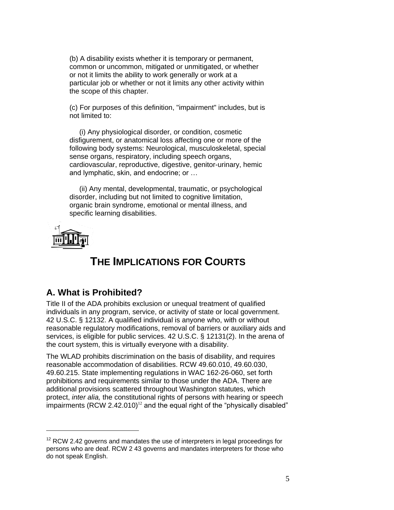(b) A disability exists whether it is temporary or permanent, common or uncommon, mitigated or unmitigated, or whether or not it limits the ability to work generally or work at a particular job or whether or not it limits any other activity within the scope of this chapter.

(c) For purposes of this definition, "impairment" includes, but is not limited to:

 (i) Any physiological disorder, or condition, cosmetic disfigurement, or anatomical loss affecting one or more of the following body systems: Neurological, musculoskeletal, special sense organs, respiratory, including speech organs, cardiovascular, reproductive, digestive, genitor-urinary, hemic and lymphatic, skin, and endocrine; or …

 (ii) Any mental, developmental, traumatic, or psychological disorder, including but not limited to cognitive limitation, organic brain syndrome, emotional or mental illness, and specific learning disabilities.



 $\overline{a}$ 

# **THE IMPLICATIONS FOR COURTS**

## <span id="page-10-1"></span><span id="page-10-0"></span>**A. What is Prohibited?**

Title II of the ADA prohibits exclusion or unequal treatment of qualified individuals in any program, service, or activity of state or local government. 42 U.S.C. § 12132. A qualified individual is anyone who, with or without reasonable regulatory modifications, removal of barriers or auxiliary aids and services, is eligible for public services. 42 U.S.C. § 12131(2). In the arena of the court system, this is virtually everyone with a disability.

The WLAD prohibits discrimination on the basis of disability, and requires reasonable accommodation of disabilities. RCW 49.60.010, 49.60.030, 49.60.215. State implementing regulations in WAC 162-26-060, set forth prohibitions and requirements similar to those under the ADA. There are additional provisions scattered throughout Washington statutes, which protect, *inter alia,* the constitutional rights of persons with hearing or speech impairments (RCW 2.42.010)<sup>12</sup> and the equal right of the "physically disabled"

 $12$  RCW 2.42 governs and mandates the use of interpreters in legal proceedings for persons who are deaf. RCW 2 43 governs and mandates interpreters for those who do not speak English.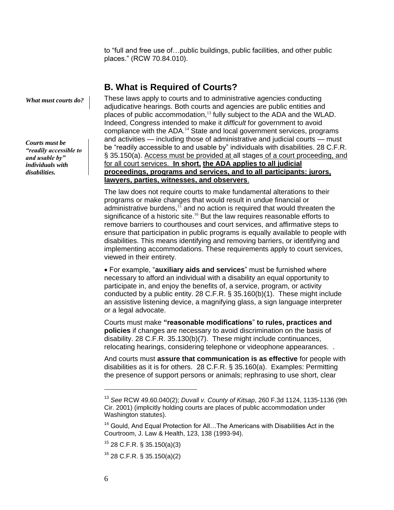to "full and free use of... public buildings, public facilities, and other public places.‖ (RCW 70.84.010).

## <span id="page-11-0"></span>**B. What is Required of Courts?**

*What must courts do?*

*Courts must be ―readily accessible to*  and usable by" *individuals with disabilities.*

These laws apply to courts and to administrative agencies conducting adjudicative hearings. Both courts and agencies are public entities and places of public accommodation,<sup>13</sup> fully subject to the ADA and the WLAD. Indeed, Congress intended to make it *difficult* for government to avoid compliance with the ADA.<sup>14</sup> State and local government services, programs and activities — including those of administrative and judicial courts — must be "readily accessible to and usable by" individuals with disabilities. 28 C.F.R. § 35.150(a). Access must be provided at all stages of a court proceeding, and for all court services. **In short, the ADA applies to all judicial proceedings, programs and services, and to all participants: jurors, lawyers, parties, witnesses, and observers**.

The law does not require courts to make fundamental alterations to their programs or make changes that would result in undue financial or administrative burdens,  $15$  and no action is required that would threaten the significance of a historic site.<sup>16</sup> But the law requires reasonable efforts to remove barriers to courthouses and court services, and affirmative steps to ensure that participation in public programs is equally available to people with disabilities. This means identifying and removing barriers, or identifying and implementing accommodations. These requirements apply to court services, viewed in their entirety.

• For example, "auxiliary aids and services" must be furnished where necessary to afford an individual with a disability an equal opportunity to participate in, and enjoy the benefits of, a service, program, or activity conducted by a public entity. 28 C.F.R. § 35.160(b)(1). These might include an assistive listening device, a magnifying glass, a sign language interpreter or a legal advocate.

Courts must make "reasonable modifications" to rules, practices and **policies** if changes are necessary to avoid discrimination on the basis of disability. 28 C.F.R. 35.130(b)(7). These might include continuances, relocating hearings, considering telephone or videophone appearances. .

And courts must **assure that communication is as effective** for people with disabilities as it is for others. 28 C.F.R. § 35.160(a). Examples: Permitting the presence of support persons or animals; rephrasing to use short, clear

 $15$  28 C.F.R. § 35.150(a)(3)

<sup>16</sup> 28 C.F.R. § 35.150(a)(2)

<sup>13</sup> *See* RCW 49.60.040(2); *Duvall v. County of Kitsap*, 260 F.3d 1124, 1135-1136 (9th Cir. 2001) (implicitly holding courts are places of public accommodation under Washington statutes).

 $14$  Gould. And Equal Protection for All... The Americans with Disabilities Act in the Courtroom, J. Law & Health, 123, 138 (1993-94).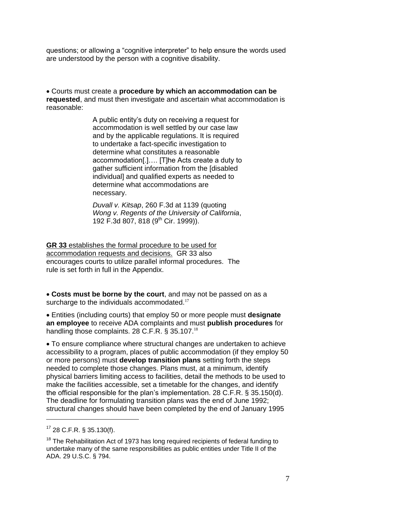questions; or allowing a "cognitive interpreter" to help ensure the words used are understood by the person with a cognitive disability.

 Courts must create a **procedure by which an accommodation can be requested**, and must then investigate and ascertain what accommodation is reasonable:

> A public entity's duty on receiving a request for accommodation is well settled by our case law and by the applicable regulations. It is required to undertake a fact-specific investigation to determine what constitutes a reasonable accommodation[.]…. [T]he Acts create a duty to gather sufficient information from the [disabled individual] and qualified experts as needed to determine what accommodations are necessary.

> *Duvall v. Kitsap*, 260 F.3d at 1139 (quoting *Wong v. Regents of the University of California*, 192 F.3d 807, 818 (9th Cir. 1999)).

**GR 33** establishes the formal procedure to be used for accommodation requests and decisions. GR 33 also encourages courts to utilize parallel informal procedures. The rule is set forth in full in the Appendix.

 **Costs must be borne by the court**, and may not be passed on as a surcharge to the individuals accommodated.<sup>17</sup>

 Entities (including courts) that employ 50 or more people must **designate an employee** to receive ADA complaints and must **publish procedures** for handling those complaints. 28 C.F.R. § 35.107.<sup>18</sup>

 To ensure compliance where structural changes are undertaken to achieve accessibility to a program, places of public accommodation (if they employ 50 or more persons) must **develop transition plans** setting forth the steps needed to complete those changes. Plans must, at a minimum, identify physical barriers limiting access to facilities, detail the methods to be used to make the facilities accessible, set a timetable for the changes, and identify the official responsible for the plan's implementation. 28 C.F.R. § 35.150(d). The deadline for formulating transition plans was the end of June 1992; structural changes should have been completed by the end of January 1995

 $17$  28 C.F.R. § 35.130(f).

 $18$  The Rehabilitation Act of 1973 has long required recipients of federal funding to undertake many of the same responsibilities as public entities under Title II of the ADA. 29 U.S.C. § 794.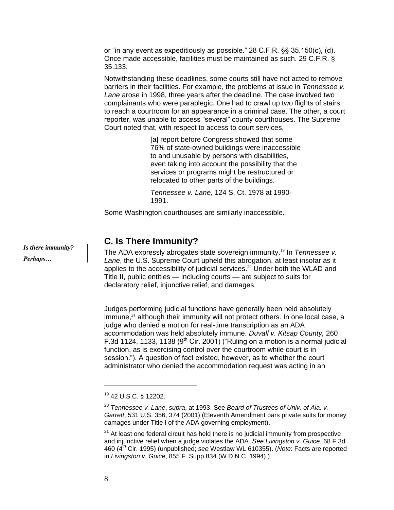or "in any event as expeditiously as possible." 28 C.F.R. §§ 35.150(c), (d). Once made accessible, facilities must be maintained as such. 29 C.F.R. § 35.133.

Notwithstanding these deadlines, some courts still have not acted to remove barriers in their facilities. For example, the problems at issue in *Tennessee v. Lane* arose in 1998, three years after the deadline. The case involved two complainants who were paraplegic. One had to crawl up two flights of stairs to reach a courtroom for an appearance in a criminal case. The other, a court reporter, was unable to access "several" county courthouses. The Supreme Court noted that, with respect to access to court services,

> [a] report before Congress showed that some 76% of state-owned buildings were inaccessible to and unusable by persons with disabilities, even taking into account the possibility that the services or programs might be restructured or relocated to other parts of the buildings.

*Tennessee v. Lane*, 124 S. Ct. 1978 at 1990- 1991.

<span id="page-13-0"></span>Some Washington courthouses are similarly inaccessible.

## **C. Is There Immunity?**

The ADA expressly abrogates state sovereign immunity.<sup>19</sup> In *Tennessee v. Lane*, the U.S. Supreme Court upheld this abrogation, at least insofar as it applies to the accessibility of judicial services.<sup>20</sup> Under both the WLAD and Title II, public entities — including courts — are subject to suits for declaratory relief, injunctive relief, and damages.

Judges performing judicial functions have generally been held absolutely  $immune<sub>1</sub><sup>21</sup>$  although their immunity will not protect others. In one local case, a judge who denied a motion for real-time transcription as an ADA accommodation was held absolutely immune. *Duvall v. Kitsap County,* 260 F.3d 1124, 1133, 1138 ( $9<sup>th</sup>$  Cir. 2001) ("Ruling on a motion is a normal judicial function, as is exercising control over the courtroom while court is in session."). A question of fact existed, however, as to whether the court administrator who denied the accommodation request was acting in an

*Is there immunity? Perhaps…*

<sup>19</sup> 42 U.S.C. § 12202.

<sup>20</sup> *Tennessee v. Lane*, *supra*, at 1993. See *Board of Trustees of Univ. of Ala. v. Garrett*, 531 U.S. 356, 374 (2001) (Eleventh Amendment bars private suits for money damages under Title I of the ADA governing employment).

 $21$  At least one federal circuit has held there is no judicial immunity from prospective and injunctive relief when a judge violates the ADA. *See Livingston v. Guice*, 68 F.3d 460 (4th Cir. 1995) (unpublished; *see* Westlaw WL 610355). (*Note*: Facts are reported in *Livingston v. Guice*, 855 F. Supp 834 (W.D.N.C. 1994).)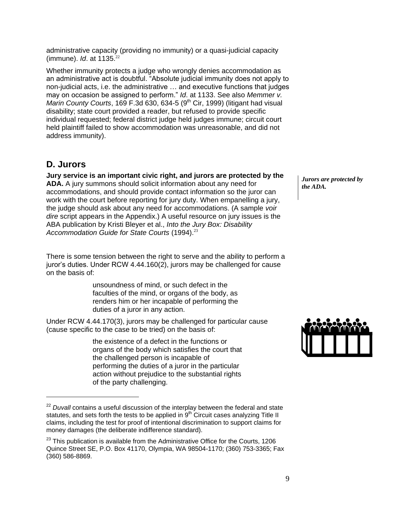administrative capacity (providing no immunity) or a quasi-judicial capacity (immune). *Id.* at 1135.<sup>22</sup>

Whether immunity protects a judge who wrongly denies accommodation as an administrative act is doubtful. "Absolute judicial immunity does not apply to non-judicial acts, i.e. the administrative … and executive functions that judges may on occasion be assigned to perform." *Id.* at 1133. See also Memmer v. *Marin County Courts*, 169 F.3d 630, 634-5 (9<sup>th</sup> Cir, 1999) (litigant had visual disability; state court provided a reader, but refused to provide specific individual requested; federal district judge held judges immune; circuit court held plaintiff failed to show accommodation was unreasonable, and did not address immunity).

## <span id="page-14-0"></span>**D. Jurors**

**Jury service is an important civic right, and jurors are protected by the ADA.** A jury summons should solicit information about any need for accommodations, and should provide contact information so the juror can work with the court before reporting for jury duty. When empanelling a jury, the judge should ask about any need for accommodations. (A sample *voir dire* script appears in the Appendix.) A useful resource on jury issues is the ABA publication by Kristi Bleyer et al., *Into the Jury Box: Disability Accommodation Guide for State Courts* (1994).<sup>23</sup>

There is some tension between the right to serve and the ability to perform a juror's duties. Under RCW 4.44.160(2), jurors may be challenged for cause on the basis of:

> unsoundness of mind, or such defect in the faculties of the mind, or organs of the body, as renders him or her incapable of performing the duties of a juror in any action.

Under RCW 4.44.170(3), jurors may be challenged for particular cause (cause specific to the case to be tried) on the basis of:

> the existence of a defect in the functions or organs of the body which satisfies the court that the challenged person is incapable of performing the duties of a juror in the particular action without prejudice to the substantial rights of the party challenging.

*Jurors are protected by the ADA.*



<sup>&</sup>lt;sup>22</sup> Duvall contains a useful discussion of the interplay between the federal and state statutes, and sets forth the tests to be applied in  $9<sup>th</sup>$  Circuit cases analyzing Title II claims, including the test for proof of intentional discrimination to support claims for money damages (the deliberate indifference standard).

 $23$  This publication is available from the Administrative Office for the Courts, 1206 Quince Street SE, P.O. Box 41170, Olympia, WA 98504-1170; (360) 753-3365; Fax (360) 586-8869.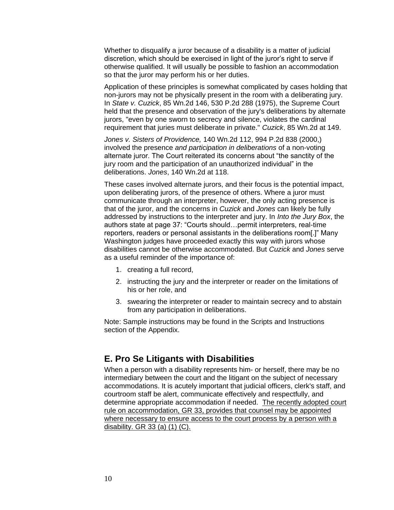Whether to disqualify a juror because of a disability is a matter of judicial discretion, which should be exercised in light of the juror's right to serve if otherwise qualified. It will usually be possible to fashion an accommodation so that the juror may perform his or her duties.

Application of these principles is somewhat complicated by cases holding that non-jurors may not be physically present in the room with a deliberating jury. In *State v. Cuzick*, 85 Wn.2d 146, 530 P.2d 288 (1975), the Supreme Court held that the presence and observation of the jury's deliberations by alternate jurors, "even by one sworn to secrecy and silence, violates the cardinal requirement that juries must deliberate in private." *Cuzick*, 85 Wn.2d at 149.

*Jones v. Sisters of Providence,* 140 Wn.2d 112, 994 P.2d 838 (2000,) involved the presence *and participation in deliberations* of a non-voting alternate juror. The Court reiterated its concerns about "the sanctity of the jury room and the participation of an unauthorized individual" in the deliberations. *Jones*, 140 Wn.2d at 118.

These cases involved alternate jurors, and their focus is the potential impact, upon deliberating jurors, of the presence of others. Where a juror must communicate through an interpreter, however, the only acting presence is that of the juror, and the concerns in *Cuzick* and *Jones* can likely be fully addressed by instructions to the interpreter and jury. In *Into the Jury Box*, the authors state at page 37: "Courts should...permit interpreters, real-time reporters, readers or personal assistants in the deliberations room[.]" Many Washington judges have proceeded exactly this way with jurors whose disabilities cannot be otherwise accommodated. But *Cuzick* and *Jones* serve as a useful reminder of the importance of:

- 1. creating a full record,
- 2. instructing the jury and the interpreter or reader on the limitations of his or her role, and
- 3. swearing the interpreter or reader to maintain secrecy and to abstain from any participation in deliberations.

Note: Sample instructions may be found in the Scripts and Instructions section of the Appendix.

## <span id="page-15-0"></span>**E. Pro Se Litigants with Disabilities**

When a person with a disability represents him- or herself, there may be no intermediary between the court and the litigant on the subject of necessary accommodations. It is acutely important that judicial officers, clerk's staff, and courtroom staff be alert, communicate effectively and respectfully, and determine appropriate accommodation if needed. The recently adopted court rule on accommodation, GR 33, provides that counsel may be appointed where necessary to ensure access to the court process by a person with a disability. GR 33 (a) (1) (C).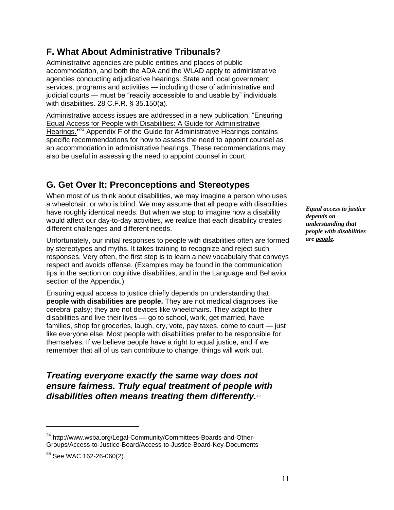# <span id="page-16-0"></span>**F. What About Administrative Tribunals?**

Administrative agencies are public entities and places of public accommodation, and both the ADA and the WLAD apply to administrative agencies conducting adjudicative hearings. State and local government services, programs and activities — including those of administrative and judicial courts — must be "readily accessible to and usable by" individuals with disabilities. 28 C.F.R. § 35.150(a).

Administrative access issues are addressed in a new publication. "Ensuring Equal Access for People with Disabilities: A Guide for Administrative Hearings.<sup>"24</sup> Appendix F of the Guide for Administrative Hearings contains specific recommendations for how to assess the need to appoint counsel as an accommodation in administrative hearings. These recommendations may also be useful in assessing the need to appoint counsel in court.

# <span id="page-16-1"></span>**G. Get Over It: Preconceptions and Stereotypes**

When most of us think about disabilities, we may imagine a person who uses a wheelchair, or who is blind. We may assume that all people with disabilities have roughly identical needs. But when we stop to imagine how a disability would affect our day-to-day activities, we realize that each disability creates different challenges and different needs.

Unfortunately, our initial responses to people with disabilities often are formed by stereotypes and myths. It takes training to recognize and reject such responses. Very often, the first step is to learn a new vocabulary that conveys respect and avoids offense. (Examples may be found in the communication tips in the section on cognitive disabilities, and in the Language and Behavior section of the Appendix.)

Ensuring equal access to justice chiefly depends on understanding that **people with disabilities are people.** They are not medical diagnoses like cerebral palsy; they are not devices like wheelchairs. They adapt to their disabilities and live their lives — go to school, work, get married, have families, shop for groceries, laugh, cry, vote, pay taxes, come to court — just like everyone else. Most people with disabilities prefer to be responsible for themselves. If we believe people have a right to equal justice, and if we remember that all of us can contribute to change, things will work out.

*Treating everyone exactly the same way does not ensure fairness. Truly equal treatment of people with disabilities often means treating them differently.*<sup>25</sup>

 $\overline{a}$ 

*Equal access to justice depends on understanding that people with disabilities are people.*

<sup>&</sup>lt;sup>24</sup> [http://www.wsba.org/Legal-Community/Committees-Boards-and-Other-](http://www.wsba.org/Legal-Community/Committees-Boards-and-Other-Groups/Access-to-Justice-Board/Access-to-Justice-Board-Key-Documents)[Groups/Access-to-Justice-Board/Access-to-Justice-Board-Key-Documents](http://www.wsba.org/Legal-Community/Committees-Boards-and-Other-Groups/Access-to-Justice-Board/Access-to-Justice-Board-Key-Documents)

 $25$  See WAC 162-26-060(2).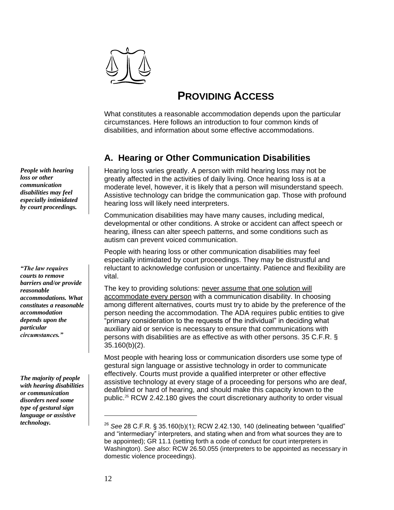

# **PROVIDING ACCESS**

<span id="page-17-0"></span>What constitutes a reasonable accommodation depends upon the particular circumstances. Here follows an introduction to four common kinds of disabilities, and information about some effective accommodations.

# **A. Hearing or Other Communication Disabilities**

Hearing loss varies greatly. A person with mild hearing loss may not be greatly affected in the activities of daily living. Once hearing loss is at a moderate level, however, it is likely that a person will misunderstand speech. Assistive technology can bridge the communication gap. Those with profound hearing loss will likely need interpreters.

Communication disabilities may have many causes, including medical, developmental or other conditions. A stroke or accident can affect speech or hearing, illness can alter speech patterns, and some conditions such as autism can prevent voiced communication.

People with hearing loss or other communication disabilities may feel especially intimidated by court proceedings. They may be distrustful and reluctant to acknowledge confusion or uncertainty. Patience and flexibility are vital.

The key to providing solutions: never assume that one solution will accommodate every person with a communication disability. In choosing among different alternatives, courts must try to abide by the preference of the person needing the accommodation. The ADA requires public entities to give "primary consideration to the requests of the individual" in deciding what auxiliary aid or service is necessary to ensure that communications with persons with disabilities are as effective as with other persons. 35 C.F.R. § 35.160(b)(2).

Most people with hearing loss or communication disorders use some type of gestural sign language or assistive technology in order to communicate effectively. Courts must provide a qualified interpreter or other effective assistive technology at every stage of a proceeding for persons who are deaf, deaf/blind or hard of hearing, and should make this capacity known to the public.<sup>26</sup> RCW 2.42.180 gives the court discretionary authority to order visual

*People with hearing loss or other communication disabilities may feel especially intimidated by court proceedings.* 

*―The law requires courts to remove barriers and/or provide reasonable accommodations. What constitutes a reasonable accommodation depends upon the particular circumstances.‖*

*The majority of people with hearing disabilities or communication disorders need some type of gestural sign language or assistive technology.* 

<sup>&</sup>lt;sup>26</sup> See 28 C.F.R. § 35.160(b)(1); RCW 2.42.130, 140 (delineating between "qualified" and "intermediary" interpreters, and stating when and from what sources they are to be appointed); GR 11.1 (setting forth a code of conduct for court interpreters in Washington). *See also*: RCW 26.50.055 (interpreters to be appointed as necessary in domestic violence proceedings).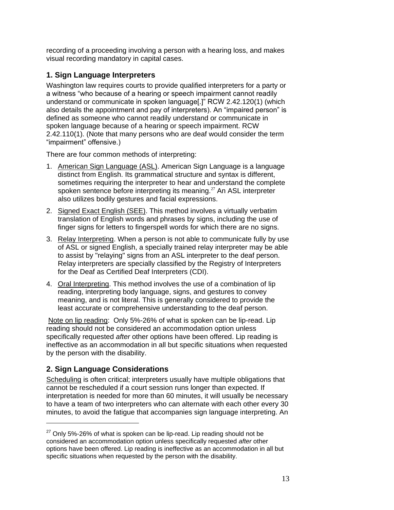recording of a proceeding involving a person with a hearing loss, and makes visual recording mandatory in capital cases.

## **1. Sign Language Interpreters**

Washington law requires courts to provide qualified interpreters for a party or a witness "who because of a hearing or speech impairment cannot readily understand or communicate in spoken language[.]" RCW 2.42.120(1) (which also details the appointment and pay of interpreters). An "impaired person" is defined as someone who cannot readily understand or communicate in spoken language because of a hearing or speech impairment. RCW 2.42.110(1). (Note that many persons who are deaf would consider the term ―impairment‖ offensive.)

There are four common methods of interpreting:

- 1. American Sign Language (ASL). American Sign Language is a language distinct from English. Its grammatical structure and syntax is different, sometimes requiring the interpreter to hear and understand the complete spoken sentence before interpreting its meaning.<sup>27</sup> An ASL interpreter also utilizes bodily gestures and facial expressions.
- 2. Signed Exact English (SEE). This method involves a virtually verbatim translation of English words and phrases by signs, including the use of finger signs for letters to fingerspell words for which there are no signs.
- 3. Relay Interpreting. When a person is not able to communicate fully by use of ASL or signed English, a specially trained relay interpreter may be able to assist by "relaying" signs from an ASL interpreter to the deaf person. Relay interpreters are specially classified by the Registry of Interpreters for the Deaf as Certified Deaf Interpreters (CDI).
- 4. Oral Interpreting. This method involves the use of a combination of lip reading, interpreting body language, signs, and gestures to convey meaning, and is not literal. This is generally considered to provide the least accurate or comprehensive understanding to the deaf person.

Note on lip reading: Only 5%-26% of what is spoken can be lip-read. Lip reading should not be considered an accommodation option unless specifically requested *after* other options have been offered. Lip reading is ineffective as an accommodation in all but specific situations when requested by the person with the disability.

## **2. Sign Language Considerations**

Scheduling is often critical; interpreters usually have multiple obligations that cannot be rescheduled if a court session runs longer than expected. If interpretation is needed for more than 60 minutes, it will usually be necessary to have a team of two interpreters who can alternate with each other every 30 minutes, to avoid the fatigue that accompanies sign language interpreting. An

 $27$  Only 5%-26% of what is spoken can be lip-read. Lip reading should not be considered an accommodation option unless specifically requested *after* other options have been offered. Lip reading is ineffective as an accommodation in all but specific situations when requested by the person with the disability.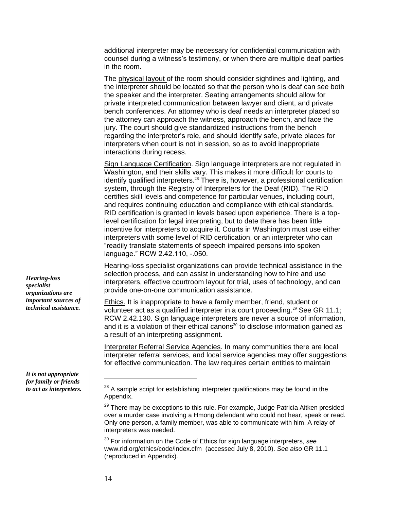additional interpreter may be necessary for confidential communication with counsel during a witness's testimony, or when there are multiple deaf parties in the room.

The physical layout of the room should consider sightlines and lighting, and the interpreter should be located so that the person who is deaf can see both the speaker and the interpreter. Seating arrangements should allow for private interpreted communication between lawyer and client, and private bench conferences. An attorney who is deaf needs an interpreter placed so the attorney can approach the witness, approach the bench, and face the jury. The court should give standardized instructions from the bench regarding the interpreter's role, and should identify safe, private places for interpreters when court is not in session, so as to avoid inappropriate interactions during recess.

Sign Language Certification. Sign language interpreters are not regulated in Washington, and their skills vary. This makes it more difficult for courts to identify qualified interpreters.<sup>28</sup> There is, however, a professional certification system, through the Registry of Interpreters for the Deaf (RID). The RID certifies skill levels and competence for particular venues, including court, and requires continuing education and compliance with ethical standards. RID certification is granted in levels based upon experience. There is a toplevel certification for legal interpreting, but to date there has been little incentive for interpreters to acquire it. Courts in Washington must use either interpreters with some level of RID certification, or an interpreter who can ―readily translate statements of speech impaired persons into spoken language." RCW 2.42.110, -.050.

Hearing-loss specialist organizations can provide technical assistance in the selection process, and can assist in understanding how to hire and use interpreters, effective courtroom layout for trial, uses of technology, and can provide one-on-one communication assistance.

Ethics. It is inappropriate to have a family member, friend, student or volunteer act as a qualified interpreter in a court proceeding.<sup>29</sup> See GR 11.1; RCW 2.42.130. Sign language interpreters are never a source of information, and it is a violation of their ethical canons $30$  to disclose information gained as a result of an interpreting assignment.

Interpreter Referral Service Agencies. In many communities there are local interpreter referral services, and local service agencies may offer suggestions for effective communication. The law requires certain entities to maintain

*Hearing-loss specialist organizations are important sources of technical assistance.*

*It is not appropriate for family or friends to act as interpreters.*

 $\overline{a}$ 

 $28$  A sample script for establishing interpreter qualifications may be found in the Appendix.

<sup>&</sup>lt;sup>29</sup> There may be exceptions to this rule. For example, Judge Patricia Aitken presided over a murder case involving a Hmong defendant who could not hear, speak or read. Only one person, a family member, was able to communicate with him. A relay of interpreters was needed.

<sup>30</sup> For information on the Code of Ethics for sign language interpreters, *see*  [www.rid.org/ethics/code/index.cfm](http://www.rid.org/ethics/code/index.cfm) (accessed July 8, 2010). *See also* GR 11.1 (reproduced in Appendix).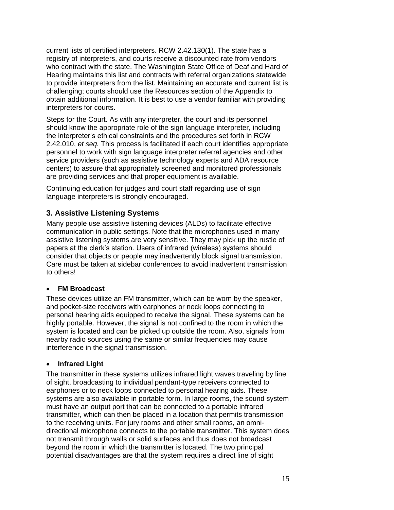current lists of certified interpreters. RCW 2.42.130(1). The state has a registry of interpreters, and courts receive a discounted rate from vendors who contract with the state. The Washington State Office of Deaf and Hard of Hearing maintains this list and contracts with referral organizations statewide to provide interpreters from the list. Maintaining an accurate and current list is challenging; courts should use the Resources section of the Appendix to obtain additional information. It is best to use a vendor familiar with providing interpreters for courts.

Steps for the Court. As with any interpreter, the court and its personnel should know the appropriate role of the sign language interpreter, including the interpreter's ethical constraints and the procedures set forth in RCW 2.42.010, *et seq.* This process is facilitated if each court identifies appropriate personnel to work with sign language interpreter referral agencies and other service providers (such as assistive technology experts and ADA resource centers) to assure that appropriately screened and monitored professionals are providing services and that proper equipment is available.

Continuing education for judges and court staff regarding use of sign language interpreters is strongly encouraged.

### **3. Assistive Listening Systems**

Many people use assistive listening devices (ALDs) to facilitate effective communication in public settings. Note that the microphones used in many assistive listening systems are very sensitive. They may pick up the rustle of papers at the clerk's station. Users of infrared (wireless) systems should consider that objects or people may inadvertently block signal transmission. Care must be taken at sidebar conferences to avoid inadvertent transmission to others!

#### **FM Broadcast**

These devices utilize an FM transmitter, which can be worn by the speaker, and pocket-size receivers with earphones or neck loops connecting to personal hearing aids equipped to receive the signal. These systems can be highly portable. However, the signal is not confined to the room in which the system is located and can be picked up outside the room. Also, signals from nearby radio sources using the same or similar frequencies may cause interference in the signal transmission.

#### **Infrared Light**

The transmitter in these systems utilizes infrared light waves traveling by line of sight, broadcasting to individual pendant-type receivers connected to earphones or to neck loops connected to personal hearing aids. These systems are also available in portable form. In large rooms, the sound system must have an output port that can be connected to a portable infrared transmitter, which can then be placed in a location that permits transmission to the receiving units. For jury rooms and other small rooms, an omnidirectional microphone connects to the portable transmitter. This system does not transmit through walls or solid surfaces and thus does not broadcast beyond the room in which the transmitter is located. The two principal potential disadvantages are that the system requires a direct line of sight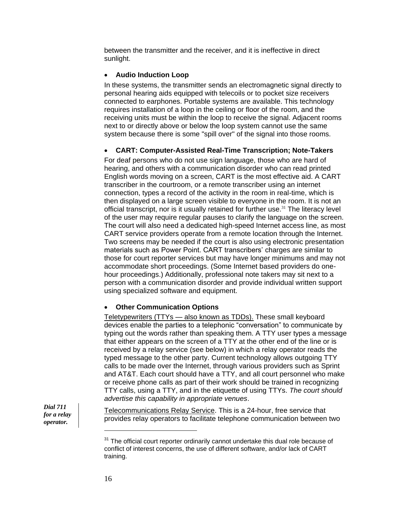between the transmitter and the receiver, and it is ineffective in direct sunlight.

#### **Audio Induction Loop**

In these systems, the transmitter sends an electromagnetic signal directly to personal hearing aids equipped with telecoils or to pocket size receivers connected to earphones. Portable systems are available. This technology requires installation of a loop in the ceiling or floor of the room, and the receiving units must be within the loop to receive the signal. Adjacent rooms next to or directly above or below the loop system cannot use the same system because there is some "spill over" of the signal into those rooms.

#### **CART: Computer-Assisted Real-Time Transcription; Note-Takers**

For deaf persons who do not use sign language, those who are hard of hearing, and others with a communication disorder who can read printed English words moving on a screen, CART is the most effective aid. A CART transcriber in the courtroom, or a remote transcriber using an internet connection, types a record of the activity in the room in real-time, which is then displayed on a large screen visible to everyone in the room. It is not an official transcript, nor is it usually retained for further use.<sup>31</sup> The literacy level of the user may require regular pauses to clarify the language on the screen. The court will also need a dedicated high-speed Internet access line, as most CART service providers operate from a remote location through the Internet. Two screens may be needed if the court is also using electronic presentation materials such as Power Point. CART transcribers' charges are similar to those for court reporter services but may have longer minimums and may not accommodate short proceedings. (Some Internet based providers do onehour proceedings.) Additionally, professional note takers may sit next to a person with a communication disorder and provide individual written support using specialized software and equipment.

#### **Other Communication Options**

Teletypewriters (TTYs — also known as TDDs). These small keyboard devices enable the parties to a telephonic "conversation" to communicate by typing out the words rather than speaking them. A TTY user types a message that either appears on the screen of a TTY at the other end of the line or is received by a relay service (see below) in which a relay operator reads the typed message to the other party. Current technology allows outgoing TTY calls to be made over the Internet, through various providers such as Sprint and AT&T. Each court should have a TTY, and all court personnel who make or receive phone calls as part of their work should be trained in recognizing TTY calls, using a TTY, and in the etiquette of using TTYs. *The court should advertise this capability in appropriate venues*.

Telecommunications Relay Service. This is a 24-hour, free service that provides relay operators to facilitate telephone communication between two

*Dial 711 for a relay operator.*

 $\overline{a}$ 

 $31$  The official court reporter ordinarily cannot undertake this dual role because of conflict of interest concerns, the use of different software, and/or lack of CART training.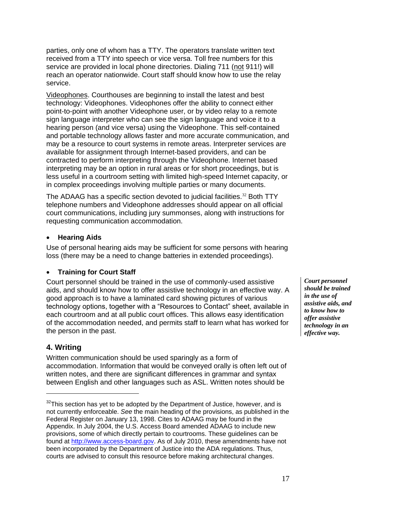parties, only one of whom has a TTY. The operators translate written text received from a TTY into speech or vice versa. Toll free numbers for this service are provided in local phone directories. Dialing 711 (not 911!) will reach an operator nationwide. Court staff should know how to use the relay service.

Videophones. Courthouses are beginning to install the latest and best technology: Videophones. Videophones offer the ability to connect either point-to-point with another Videophone user, or by video relay to a remote sign language interpreter who can see the sign language and voice it to a hearing person (and vice versa) using the Videophone. This self-contained and portable technology allows faster and more accurate communication, and may be a resource to court systems in remote areas. Interpreter services are available for assignment through Internet-based providers, and can be contracted to perform interpreting through the Videophone. Internet based interpreting may be an option in rural areas or for short proceedings, but is less useful in a courtroom setting with limited high-speed Internet capacity, or in complex proceedings involving multiple parties or many documents.

The ADAAG has a specific section devoted to judicial facilities.<sup>32</sup> Both TTY telephone numbers and Videophone addresses should appear on all official court communications, including jury summonses, along with instructions for requesting communication accommodation.

#### **Hearing Aids**

Use of personal hearing aids may be sufficient for some persons with hearing loss (there may be a need to change batteries in extended proceedings).

#### **Training for Court Staff**

Court personnel should be trained in the use of commonly-used assistive aids, and should know how to offer assistive technology in an effective way. A good approach is to have a laminated card showing pictures of various technology options, together with a "Resources to Contact" sheet, available in each courtroom and at all public court offices. This allows easy identification of the accommodation needed, and permits staff to learn what has worked for the person in the past.

#### **4. Writing**

Written communication should be used sparingly as a form of accommodation. Information that would be conveyed orally is often left out of written notes, and there are significant differences in grammar and syntax between English and other languages such as ASL. Written notes should be

*Court personnel should be trained in the use of assistive aids, and to know how to offer assistive technology in an effective way.*

 $32$ This section has yet to be adopted by the Department of Justice, however, and is not currently enforceable. *See* the main heading of the provisions, as published in the Federal Register on January 13, 1998. Cites to ADAAG may be found in the Appendix. In July 2004, the U.S. Access Board amended ADAAG to include new provisions, some of which directly pertain to courtrooms. These guidelines can be found at http://www.access-board.gov. As of July 2010, these amendments have not been incorporated by the Department of Justice into the ADA regulations. Thus, courts are advised to consult this resource before making architectural changes.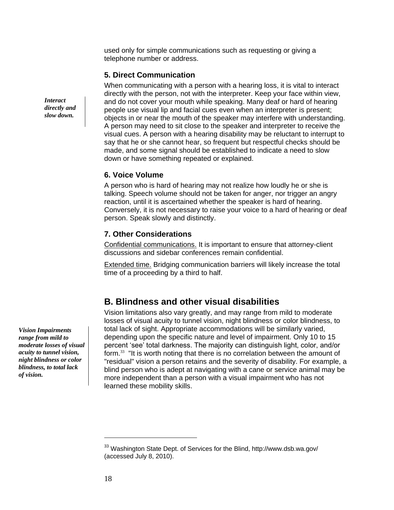used only for simple communications such as requesting or giving a telephone number or address.

#### **5. Direct Communication**

When communicating with a person with a hearing loss, it is vital to interact directly with the person, not with the interpreter. Keep your face within view, and do not cover your mouth while speaking. Many deaf or hard of hearing people use visual lip and facial cues even when an interpreter is present; objects in or near the mouth of the speaker may interfere with understanding. A person may need to sit close to the speaker and interpreter to receive the visual cues. A person with a hearing disability may be reluctant to interrupt to say that he or she cannot hear, so frequent but respectful checks should be made, and some signal should be established to indicate a need to slow down or have something repeated or explained.

#### **6. Voice Volume**

A person who is hard of hearing may not realize how loudly he or she is talking. Speech volume should not be taken for anger, nor trigger an angry reaction, until it is ascertained whether the speaker is hard of hearing. Conversely, it is not necessary to raise your voice to a hard of hearing or deaf person. Speak slowly and distinctly.

#### **7. Other Considerations**

Confidential communications. It is important to ensure that attorney-client discussions and sidebar conferences remain confidential.

Extended time. Bridging communication barriers will likely increase the total time of a proceeding by a third to half.

## <span id="page-23-0"></span>**B. Blindness and other visual disabilities**

Vision limitations also vary greatly, and may range from mild to moderate losses of visual acuity to tunnel vision, night blindness or color blindness, to total lack of sight. Appropriate accommodations will be similarly varied, depending upon the specific nature and level of impairment. Only 10 to 15 percent ‗see' total darkness. The majority can distinguish light, color, and/or form.<sup>33</sup> "It is worth noting that there is no correlation between the amount of "residual" vision a person retains and the severity of disability. For example, a blind person who is adept at navigating with a cane or service animal may be more independent than a person with a visual impairment who has not learned these mobility skills.

*Vision Impairments range from mild to moderate losses of visual acuity to tunnel vision, night blindness or color blindness, to total lack of vision.*

*Interact directly and slow down.*

<sup>&</sup>lt;sup>33</sup> Washington State Dept. of Services for the Blind,<http://www.dsb.wa.gov/> (accessed July 8, 2010).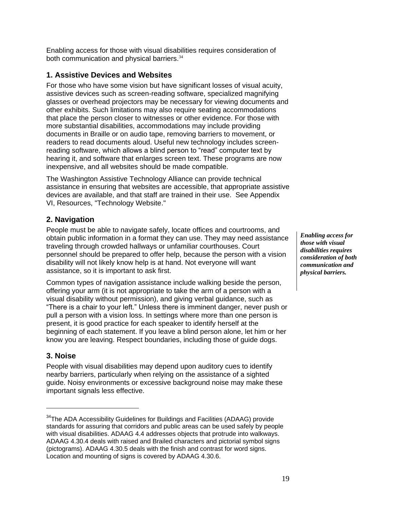Enabling access for those with visual disabilities requires consideration of both communication and physical barriers.<sup>34</sup>

### **1. Assistive Devices and Websites**

For those who have some vision but have significant losses of visual acuity, assistive devices such as screen-reading software, specialized magnifying glasses or overhead projectors may be necessary for viewing documents and other exhibits. Such limitations may also require seating accommodations that place the person closer to witnesses or other evidence. For those with more substantial disabilities, accommodations may include providing documents in Braille or on audio tape, removing barriers to movement, or readers to read documents aloud. Useful new technology includes screenreading software, which allows a blind person to "read" computer text by hearing it, and software that enlarges screen text. These programs are now inexpensive, and all websites should be made compatible.

The Washington Assistive Technology Alliance can provide technical assistance in ensuring that websites are accessible, that appropriate assistive devices are available, and that staff are trained in their use. See Appendix VI, Resources, "Technology Website."

### **2. Navigation**

People must be able to navigate safely, locate offices and courtrooms, and obtain public information in a format they can use. They may need assistance traveling through crowded hallways or unfamiliar courthouses. Court personnel should be prepared to offer help, because the person with a vision disability will not likely know help is at hand. Not everyone will want assistance, so it is important to ask first.

Common types of navigation assistance include walking beside the person, offering your arm (it is not appropriate to take the arm of a person with a visual disability without permission), and giving verbal guidance, such as ―There is a chair to your left.‖ Unless there is imminent danger, never push or pull a person with a vision loss. In settings where more than one person is present, it is good practice for each speaker to identify herself at the beginning of each statement. If you leave a blind person alone, let him or her know you are leaving. Respect boundaries, including those of guide dogs.

## **3. Noise**

 $\overline{a}$ 

People with visual disabilities may depend upon auditory cues to identify nearby barriers, particularly when relying on the assistance of a sighted guide. Noisy environments or excessive background noise may make these important signals less effective.

*Enabling access for those with visual disabilities requires consideration of both communication and physical barriers.*

<sup>&</sup>lt;sup>34</sup>The ADA Accessibility Guidelines for Buildings and Facilities (ADAAG) provide standards for assuring that corridors and public areas can be used safely by people with visual disabilities. ADAAG 4.4 addresses objects that protrude into walkways. ADAAG 4.30.4 deals with raised and Brailed characters and pictorial symbol signs (pictograms). ADAAG 4.30.5 deals with the finish and contrast for word signs. Location and mounting of signs is covered by ADAAG 4.30.6.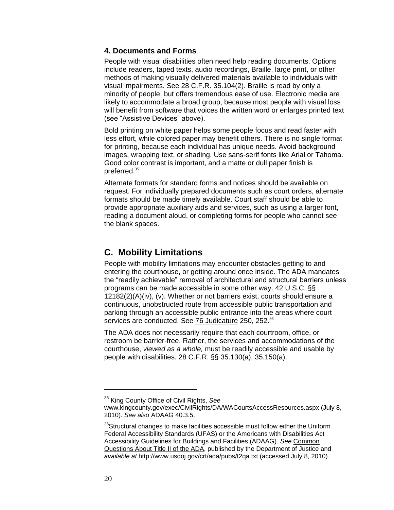#### **4. Documents and Forms**

People with visual disabilities often need help reading documents. Options include readers, taped texts, audio recordings, Braille, large print, or other methods of making visually delivered materials available to individuals with visual impairments. See 28 C.F.R. 35.104(2). Braille is read by only a minority of people, but offers tremendous ease of use. Electronic media are likely to accommodate a broad group, because most people with visual loss will benefit from software that voices the written word or enlarges printed text (see "Assistive Devices" above).

Bold printing on white paper helps some people focus and read faster with less effort, while colored paper may benefit others. There is no single format for printing, because each individual has unique needs. Avoid background images, wrapping text, or shading. Use sans-serif fonts like Arial or Tahoma. Good color contrast is important, and a matte or dull paper finish is preferred.<sup>35</sup>

Alternate formats for standard forms and notices should be available on request. For individually prepared documents such as court orders, alternate formats should be made timely available. Court staff should be able to provide appropriate auxiliary aids and services, such as using a larger font, reading a document aloud, or completing forms for people who cannot see the blank spaces.

## <span id="page-25-0"></span>**C. Mobility Limitations**

People with mobility limitations may encounter obstacles getting to and entering the courthouse, or getting around once inside. The ADA mandates the "readily achievable" removal of architectural and structural barriers unless programs can be made accessible in some other way. 42 U.S.C. §§ 12182(2)(A)(iv), (v). Whether or not barriers exist, courts should ensure a continuous, unobstructed route from accessible public transportation and parking through an accessible public entrance into the areas where court services are conducted. See 76 Judicature 250, 252.<sup>36</sup>

The ADA does not necessarily require that each courtroom, office, or restroom be barrier-free. Rather, the services and accommodations of the courthouse, *viewed as a whole,* must be readily accessible and usable by people with disabilities. 28 C.F.R. §§ 35.130(a), 35.150(a).

<sup>35</sup> King County Office of Civil Rights, *See*  [www.kingcounty.gov/exec/CivilRights/DA/WACourtsAccessResources.aspx](http://www.kingcounty.gov/exec/CivilRights/DA/WACourtsAccessResources.aspx) (July 8, 2010). *See also* ADAAG 40.3.5.

<sup>&</sup>lt;sup>36</sup>Structural changes to make facilities accessible must follow either the Uniform Federal Accessibility Standards (UFAS) or the Americans with Disabilities Act Accessibility Guidelines for Buildings and Facilities (ADAAG). *See* Common Questions About Title II of the ADA, published by the Department of Justice and *available at* http://www.usdoj.gov/crt/ada/pubs/t2qa.txt (accessed July 8, 2010).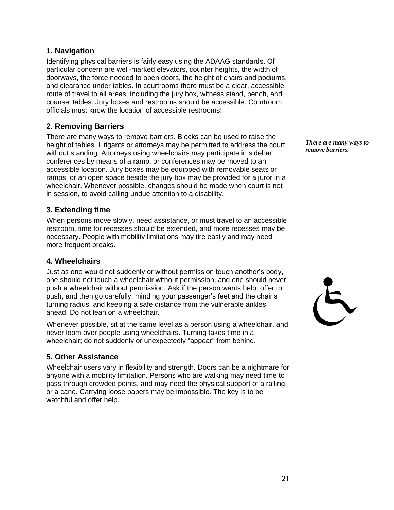#### **1. Navigation**

Identifying physical barriers is fairly easy using the ADAAG standards. Of particular concern are well-marked elevators, counter heights, the width of doorways, the force needed to open doors, the height of chairs and podiums, and clearance under tables. In courtrooms there must be a clear, accessible route of travel to all areas, including the jury box, witness stand, bench, and counsel tables. Jury boxes and restrooms should be accessible. Courtroom officials must know the location of accessible restrooms!

#### **2. Removing Barriers**

There are many ways to remove barriers. Blocks can be used to raise the height of tables. Litigants or attorneys may be permitted to address the court without standing. Attorneys using wheelchairs may participate in sidebar conferences by means of a ramp, or conferences may be moved to an accessible location. Jury boxes may be equipped with removable seats or ramps, or an open space beside the jury box may be provided for a juror in a wheelchair. Whenever possible, changes should be made when court is not in session, to avoid calling undue attention to a disability.

#### **3. Extending time**

When persons move slowly, need assistance, or must travel to an accessible restroom, time for recesses should be extended, and more recesses may be necessary. People with mobility limitations may tire easily and may need more frequent breaks.

#### **4. Wheelchairs**

Just as one would not suddenly or without permission touch another's body, one should not touch a wheelchair without permission, and one should never push a wheelchair without permission. Ask if the person wants help, offer to push, and then go carefully, minding your passenger's feet and the chair's turning radius, and keeping a safe distance from the vulnerable ankles ahead. Do not lean on a wheelchair.

Whenever possible, sit at the same level as a person using a wheelchair, and never loom over people using wheelchairs. Turning takes time in a wheelchair; do not suddenly or unexpectedly "appear" from behind.

#### **5. Other Assistance**

Wheelchair users vary in flexibility and strength. Doors can be a nightmare for anyone with a mobility limitation. Persons who are walking may need time to pass through crowded points, and may need the physical support of a railing or a cane. Carrying loose papers may be impossible. The key is to be watchful and offer help.

*There are many ways to remove barriers.*

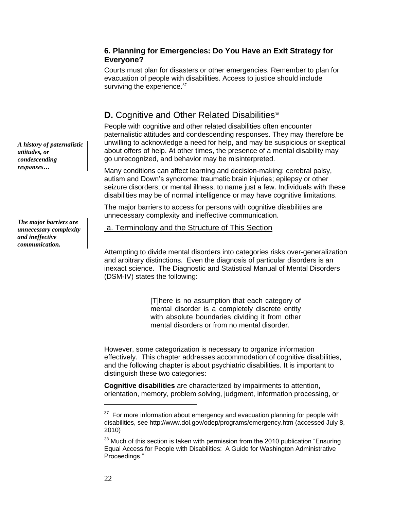#### **6. Planning for Emergencies: Do You Have an Exit Strategy for Everyone?**

Courts must plan for disasters or other emergencies. Remember to plan for evacuation of people with disabilities. Access to justice should include surviving the experience.<sup>37</sup>

# <span id="page-27-0"></span>**D.** Cognitive and Other Related Disabilities<sup>38</sup>

People with cognitive and other related disabilities often encounter paternalistic attitudes and condescending responses. They may therefore be unwilling to acknowledge a need for help, and may be suspicious or skeptical about offers of help. At other times, the presence of a mental disability may go unrecognized, and behavior may be misinterpreted.

Many conditions can affect learning and decision-making: cerebral palsy, autism and Down's syndrome; traumatic brain injuries; epilepsy or other seizure disorders; or mental illness, to name just a few. Individuals with these disabilities may be of normal intelligence or may have cognitive limitations.

The major barriers to access for persons with cognitive disabilities are unnecessary complexity and ineffective communication.

#### a. Terminology and the Structure of This Section

Attempting to divide mental disorders into categories risks over-generalization and arbitrary distinctions. Even the diagnosis of particular disorders is an inexact science. The Diagnostic and Statistical Manual of Mental Disorders (DSM-IV) states the following:

> [T]here is no assumption that each category of mental disorder is a completely discrete entity with absolute boundaries dividing it from other mental disorders or from no mental disorder.

However, some categorization is necessary to organize information effectively. This chapter addresses accommodation of cognitive disabilities, and the following chapter is about psychiatric disabilities. It is important to distinguish these two categories:

**Cognitive disabilities** are characterized by impairments to attention, orientation, memory, problem solving, judgment, information processing, or

*A history of paternalistic attitudes, or condescending responses…*

*The major barriers are unnecessary complexity and ineffective communication.*

 $\overline{a}$ 

 $37$  For more information about emergency and evacuation planning for people with disabilities, see<http://www.dol.gov/odep/programs/emergency.htm> (accessed July 8, 2010)

 $38$  Much of this section is taken with permission from the 2010 publication "Ensuring" Equal Access for People with Disabilities: A Guide for Washington Administrative Proceedings."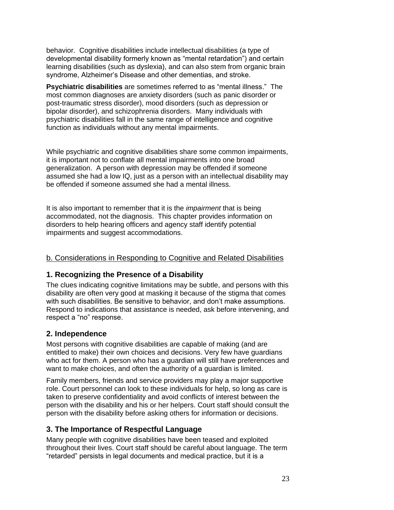behavior. Cognitive disabilities include intellectual disabilities (a type of developmental disability formerly known as "mental retardation") and certain learning disabilities (such as dyslexia), and can also stem from organic brain syndrome, Alzheimer's Disease and other dementias, and stroke.

**Psychiatric disabilities** are sometimes referred to as "mental illness." The most common diagnoses are anxiety disorders (such as panic disorder or post-traumatic stress disorder), mood disorders (such as depression or bipolar disorder), and schizophrenia disorders. Many individuals with psychiatric disabilities fall in the same range of intelligence and cognitive function as individuals without any mental impairments.

While psychiatric and cognitive disabilities share some common impairments, it is important not to conflate all mental impairments into one broad generalization. A person with depression may be offended if someone assumed she had a low IQ, just as a person with an intellectual disability may be offended if someone assumed she had a mental illness.

It is also important to remember that it is the *impairment* that is being accommodated, not the diagnosis. This chapter provides information on disorders to help hearing officers and agency staff identify potential impairments and suggest accommodations.

## b. Considerations in Responding to Cognitive and Related Disabilities

#### **1. Recognizing the Presence of a Disability**

The clues indicating cognitive limitations may be subtle, and persons with this disability are often very good at masking it because of the stigma that comes with such disabilities. Be sensitive to behavior, and don't make assumptions. Respond to indications that assistance is needed, ask before intervening, and respect a "no" response.

#### **2. Independence**

Most persons with cognitive disabilities are capable of making (and are entitled to make) their own choices and decisions. Very few have guardians who act for them. A person who has a guardian will still have preferences and want to make choices, and often the authority of a guardian is limited.

Family members, friends and service providers may play a major supportive role. Court personnel can look to these individuals for help, so long as care is taken to preserve confidentiality and avoid conflicts of interest between the person with the disability and his or her helpers. Court staff should consult the person with the disability before asking others for information or decisions.

## **3. The Importance of Respectful Language**

Many people with cognitive disabilities have been teased and exploited throughout their lives. Court staff should be careful about language. The term ―retarded‖ persists in legal documents and medical practice, but it is a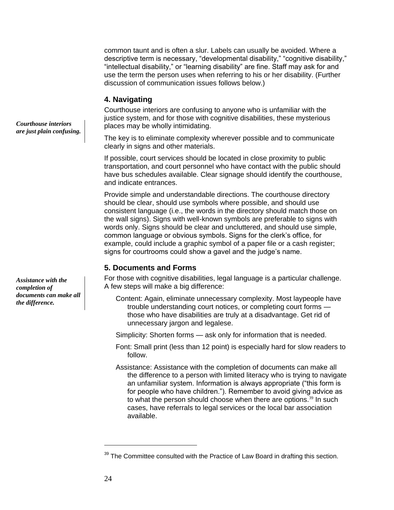common taunt and is often a slur. Labels can usually be avoided. Where a descriptive term is necessary, "developmental disability," "cognitive disability," "intellectual disability," or "learning disability" are fine. Staff may ask for and use the term the person uses when referring to his or her disability. (Further discussion of communication issues follows below.)

## **4. Navigating**

Courthouse interiors are confusing to anyone who is unfamiliar with the justice system, and for those with cognitive disabilities, these mysterious places may be wholly intimidating.

The key is to eliminate complexity wherever possible and to communicate clearly in signs and other materials.

If possible, court services should be located in close proximity to public transportation, and court personnel who have contact with the public should have bus schedules available. Clear signage should identify the courthouse, and indicate entrances.

Provide simple and understandable directions. The courthouse directory should be clear, should use symbols where possible, and should use consistent language (i.e., the words in the directory should match those on the wall signs). Signs with well-known symbols are preferable to signs with words only. Signs should be clear and uncluttered, and should use simple, common language or obvious symbols. Signs for the clerk's office, for example, could include a graphic symbol of a paper file or a cash register; signs for courtrooms could show a gavel and the judge's name.

#### **5. Documents and Forms**

For those with cognitive disabilities, legal language is a particular challenge. A few steps will make a big difference:

Content: Again, eliminate unnecessary complexity. Most laypeople have trouble understanding court notices, or completing court forms those who have disabilities are truly at a disadvantage. Get rid of unnecessary jargon and legalese.

Simplicity: Shorten forms — ask only for information that is needed.

- Font: Small print (less than 12 point) is especially hard for slow readers to follow.
- Assistance: Assistance with the completion of documents can make all the difference to a person with limited literacy who is trying to navigate an unfamiliar system. Information is always appropriate ("this form is for people who have children."). Remember to avoid giving advice as to what the person should choose when there are options.<sup>39</sup> In such cases, have referrals to legal services or the local bar association available.

*Courthouse interiors are just plain confusing.* 

*Assistance with the completion of documents can make all the difference.*

<sup>&</sup>lt;sup>39</sup> The Committee consulted with the Practice of Law Board in drafting this section.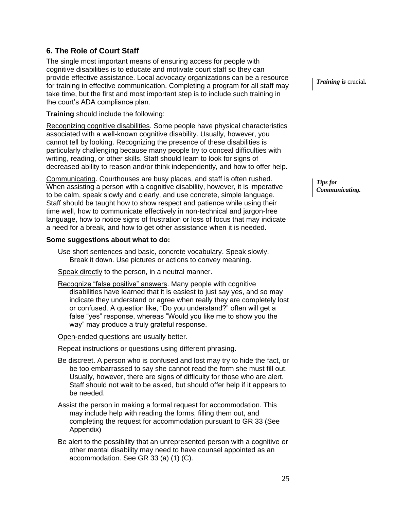## **6. The Role of Court Staff**

The single most important means of ensuring access for people with cognitive disabilities is to educate and motivate court staff so they can provide effective assistance. Local advocacy organizations can be a resource for training in effective communication. Completing a program for all staff may take time, but the first and most important step is to include such training in the court's ADA compliance plan.

#### **Training** should include the following:

Recognizing cognitive disabilities. Some people have physical characteristics associated with a well-known cognitive disability. Usually, however, you cannot tell by looking. Recognizing the presence of these disabilities is particularly challenging because many people try to conceal difficulties with writing, reading, or other skills. Staff should learn to look for signs of decreased ability to reason and/or think independently, and how to offer help.

Communicating. Courthouses are busy places, and staff is often rushed. When assisting a person with a cognitive disability, however, it is imperative to be calm, speak slowly and clearly, and use concrete, simple language. Staff should be taught how to show respect and patience while using their time well, how to communicate effectively in non-technical and jargon-free language, how to notice signs of frustration or loss of focus that may indicate a need for a break, and how to get other assistance when it is needed.

#### **Some suggestions about what to do:**

Use short sentences and basic, concrete vocabulary. Speak slowly. Break it down. Use pictures or actions to convey meaning.

Speak directly to the person, in a neutral manner.

Recognize "false positive" answers. Many people with cognitive disabilities have learned that it is easiest to just say yes, and so may indicate they understand or agree when really they are completely lost or confused. A question like, "Do you understand?" often will get a false "yes" response, whereas "Would you like me to show you the way" may produce a truly grateful response.

Open-ended questions are usually better.

Repeat instructions or questions using different phrasing.

Be discreet. A person who is confused and lost may try to hide the fact, or be too embarrassed to say she cannot read the form she must fill out. Usually, however, there are signs of difficulty for those who are alert. Staff should not wait to be asked, but should offer help if it appears to be needed.

Assist the person in making a formal request for accommodation. This may include help with reading the forms, filling them out, and completing the request for accommodation pursuant to GR 33 (See Appendix)

Be alert to the possibility that an unrepresented person with a cognitive or other mental disability may need to have counsel appointed as an accommodation. See GR 33 (a) (1) (C).

*Training is* crucial*.*

*Tips for Communicating.*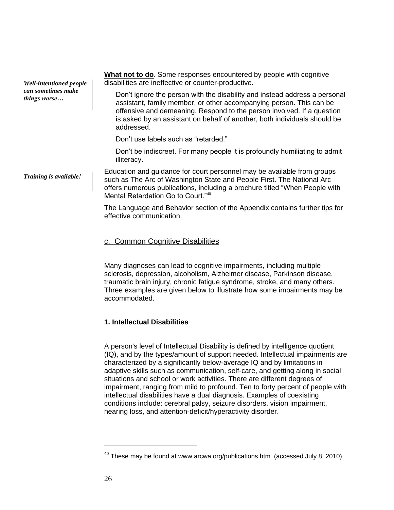*Well-intentioned people can sometimes make things worse…* 

**What not to do**. Some responses encountered by people with cognitive disabilities are ineffective or counter-productive.

Don't ignore the person with the disability and instead address a personal assistant, family member, or other accompanying person. This can be offensive and demeaning. Respond to the person involved. If a question is asked by an assistant on behalf of another, both individuals should be addressed.

Don't use labels such as "retarded."

Don't be indiscreet. For many people it is profoundly humiliating to admit illiteracy.

Education and guidance for court personnel may be available from groups such as The Arc of Washington State and People First. The National Arc offers numerous publications, including a brochure titled "When People with Mental Retardation Go to Court."40 *Training is available!*

> The Language and Behavior section of the Appendix contains further tips for effective communication.

#### c. Common Cognitive Disabilities

Many diagnoses can lead to cognitive impairments, including multiple sclerosis, depression, alcoholism, Alzheimer disease, Parkinson disease, traumatic brain injury, chronic fatigue syndrome, stroke, and many others. Three examples are given below to illustrate how some impairments may be accommodated.

#### **1. Intellectual Disabilities**

A person's level of Intellectual Disability is defined by intelligence quotient (IQ), and by the types/amount of support needed. Intellectual impairments are characterized by a significantly below-average IQ and by limitations in adaptive skills such as communication, self-care, and getting along in social situations and school or work activities. There are different degrees of impairment, ranging from mild to profound. Ten to forty percent of people with intellectual disabilities have a dual diagnosis. Examples of coexisting conditions include: cerebral palsy, seizure disorders, vision impairment, hearing loss, and attention-deficit/hyperactivity disorder.

 $40$  These may be found at [www.arcwa.org/publications.htm](http://www.arcwa.org/publications.htm) (accessed July 8, 2010).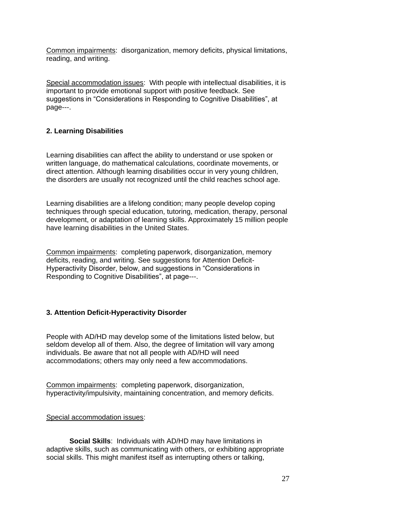Common impairments: disorganization, memory deficits, physical limitations, reading, and writing.

Special accommodation issues: With people with intellectual disabilities, it is important to provide emotional support with positive feedback. See suggestions in "Considerations in Responding to Cognitive Disabilities", at page---.

#### **2. Learning Disabilities**

Learning disabilities can affect the ability to understand or use spoken or written language, do mathematical calculations, coordinate movements, or direct attention. Although learning disabilities occur in very young children, the disorders are usually not recognized until the child reaches school age.

Learning disabilities are a lifelong condition; many people develop coping techniques through special education, tutoring, medication, therapy, personal development, or adaptation of learning skills. Approximately 15 million people have learning disabilities in the United States.

Common impairments: completing paperwork, disorganization, memory deficits, reading, and writing. See suggestions for Attention Deficit-Hyperactivity Disorder, below, and suggestions in "Considerations in Responding to Cognitive Disabilities", at page---.

#### **3. Attention Deficit-Hyperactivity Disorder**

People with AD/HD may develop some of the limitations listed below, but seldom develop all of them. Also, the degree of limitation will vary among individuals. Be aware that not all people with AD/HD will need accommodations; others may only need a few accommodations.

Common impairments: completing paperwork, disorganization, hyperactivity/impulsivity, maintaining concentration, and memory deficits.

#### Special accommodation issues:

**Social Skills**: Individuals with AD/HD may have limitations in adaptive skills, such as communicating with others, or exhibiting appropriate social skills. This might manifest itself as interrupting others or talking,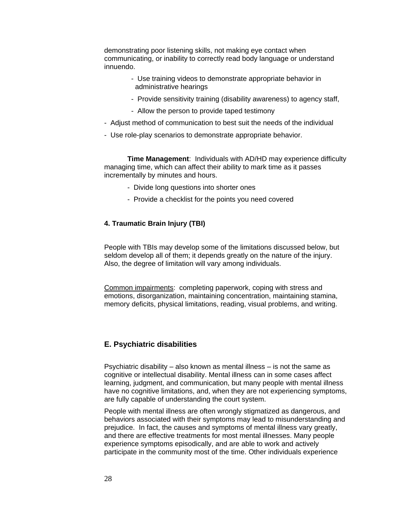demonstrating poor listening skills, not making eye contact when communicating, or inability to correctly read body language or understand innuendo.

- Use training videos to demonstrate appropriate behavior in administrative hearings
- Provide sensitivity training (disability awareness) to agency staff,
- Allow the person to provide taped testimony
- Adjust method of communication to best suit the needs of the individual
- Use role-play scenarios to demonstrate appropriate behavior.

**Time Management**: Individuals with AD/HD may experience difficulty managing time, which can affect their ability to mark time as it passes incrementally by minutes and hours.

- Divide long questions into shorter ones
- Provide a checklist for the points you need covered

#### **4. Traumatic Brain Injury (TBI)**

People with TBIs may develop some of the limitations discussed below, but seldom develop all of them; it depends greatly on the nature of the injury. Also, the degree of limitation will vary among individuals.

Common impairments: completing paperwork, coping with stress and emotions, disorganization, maintaining concentration, maintaining stamina, memory deficits, physical limitations, reading, visual problems, and writing.

#### **E. Psychiatric disabilities**

Psychiatric disability – also known as mental illness – is not the same as cognitive or intellectual disability. Mental illness can in some cases affect learning, judgment, and communication, but many people with mental illness have no cognitive limitations, and, when they are not experiencing symptoms, are fully capable of understanding the court system.

People with mental illness are often wrongly stigmatized as dangerous, and behaviors associated with their symptoms may lead to misunderstanding and prejudice. In fact, the causes and symptoms of mental illness vary greatly, and there are effective treatments for most mental illnesses. Many people experience symptoms episodically, and are able to work and actively participate in the community most of the time. Other individuals experience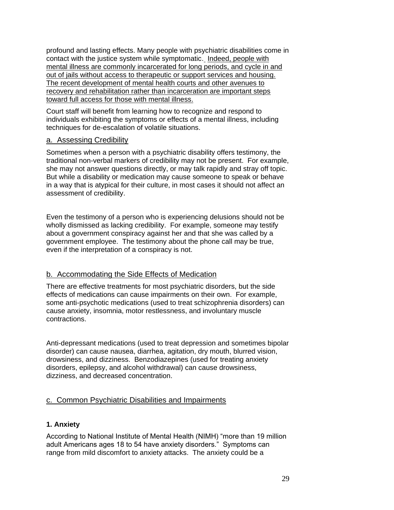profound and lasting effects. Many people with psychiatric disabilities come in contact with the justice system while symptomatic. Indeed, people with mental illness are commonly incarcerated for long periods, and cycle in and out of jails without access to therapeutic or support services and housing. The recent development of mental health courts and other avenues to recovery and rehabilitation rather than incarceration are important steps toward full access for those with mental illness.

Court staff will benefit from learning how to recognize and respond to individuals exhibiting the symptoms or effects of a mental illness, including techniques for de-escalation of volatile situations.

#### a. Assessing Credibility

Sometimes when a person with a psychiatric disability offers testimony, the traditional non-verbal markers of credibility may not be present. For example, she may not answer questions directly, or may talk rapidly and stray off topic. But while a disability or medication may cause someone to speak or behave in a way that is atypical for their culture, in most cases it should not affect an assessment of credibility.

Even the testimony of a person who is experiencing delusions should not be wholly dismissed as lacking credibility. For example, someone may testify about a government conspiracy against her and that she was called by a government employee. The testimony about the phone call may be true, even if the interpretation of a conspiracy is not.

#### b. Accommodating the Side Effects of Medication

There are effective treatments for most psychiatric disorders, but the side effects of medications can cause impairments on their own. For example, some anti-psychotic medications (used to treat schizophrenia disorders) can cause anxiety, insomnia, motor restlessness, and involuntary muscle contractions.

Anti-depressant medications (used to treat depression and sometimes bipolar disorder) can cause nausea, diarrhea, agitation, dry mouth, blurred vision, drowsiness, and dizziness. Benzodiazepines (used for treating anxiety disorders, epilepsy, and alcohol withdrawal) can cause drowsiness, dizziness, and decreased concentration.

#### c. Common Psychiatric Disabilities and Impairments

#### **1. Anxiety**

According to National Institute of Mental Health (NIMH) "more than 19 million adult Americans ages 18 to 54 have anxiety disorders.‖ Symptoms can range from mild discomfort to anxiety attacks. The anxiety could be a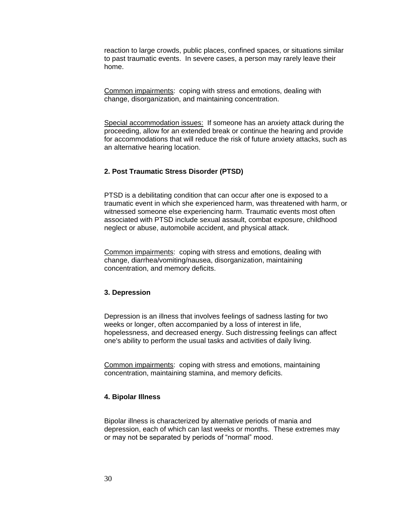reaction to large crowds, public places, confined spaces, or situations similar to past traumatic events. In severe cases, a person may rarely leave their home.

Common impairments: coping with stress and emotions, dealing with change, disorganization, and maintaining concentration.

Special accommodation issues: If someone has an anxiety attack during the proceeding, allow for an extended break or continue the hearing and provide for accommodations that will reduce the risk of future anxiety attacks, such as an alternative hearing location.

#### **2. Post Traumatic Stress Disorder (PTSD)**

PTSD is a debilitating condition that can occur after one is exposed to a traumatic event in which she experienced harm, was threatened with harm, or witnessed someone else experiencing harm. Traumatic events most often associated with PTSD include sexual assault, combat exposure, childhood neglect or abuse, automobile accident, and physical attack.

Common impairments: coping with stress and emotions, dealing with change, diarrhea/vomiting/nausea, disorganization, maintaining concentration, and memory deficits.

#### **3. Depression**

Depression is an illness that involves feelings of sadness lasting for two weeks or longer, often accompanied by a loss of interest in life, hopelessness, and decreased energy. Such distressing feelings can affect one's ability to perform the usual tasks and activities of daily living.

Common impairments: coping with stress and emotions, maintaining concentration, maintaining stamina, and memory deficits.

#### **4. Bipolar Illness**

Bipolar illness is characterized by alternative periods of mania and depression, each of which can last weeks or months. These extremes may or may not be separated by periods of "normal" mood.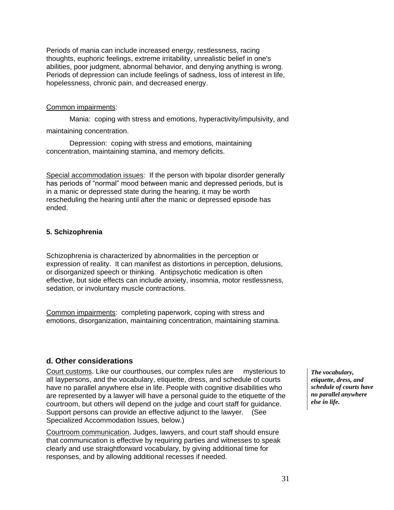Periods of mania can include increased energy, restlessness, racing thoughts, euphoric feelings, extreme irritability, unrealistic belief in one's abilities, poor judgment, abnormal behavior, and denying anything is wrong. Periods of depression can include feelings of sadness, loss of interest in life, hopelessness, chronic pain, and decreased energy.

#### Common impairments:

Mania: coping with stress and emotions, hyperactivity/impulsivity, and maintaining concentration.

Depression: coping with stress and emotions, maintaining concentration, maintaining stamina, and memory deficits.

Special accommodation issues: If the person with bipolar disorder generally has periods of "normal" mood between manic and depressed periods, but is in a manic or depressed state during the hearing, it may be worth rescheduling the hearing until after the manic or depressed episode has ended.

#### **5. Schizophrenia**

Schizophrenia is characterized by abnormalities in the perception or expression of reality. It can manifest as distortions in perception, delusions, or disorganized speech or thinking. Antipsychotic medication is often effective, but side effects can include anxiety, insomnia, motor restlessness, sedation, or involuntary muscle contractions.

Common impairments: completing paperwork, coping with stress and emotions, disorganization, maintaining concentration, maintaining stamina.

### **d. Other considerations**

Court customs. Like our courthouses, our complex rules are mysterious to all laypersons, and the vocabulary, etiquette, dress, and schedule of courts have no parallel anywhere else in life. People with cognitive disabilities who are represented by a lawyer will have a personal guide to the etiquette of the courtroom, but others will depend on the judge and court staff for guidance. Support persons can provide an effective adjunct to the lawyer. (See Specialized Accommodation Issues, below.)

Courtroom communication. Judges, lawyers, and court staff should ensure that communication is effective by requiring parties and witnesses to speak clearly and use straightforward vocabulary, by giving additional time for responses, and by allowing additional recesses if needed.

*The vocabulary, etiquette, dress, and schedule of courts have no parallel anywhere else in life.*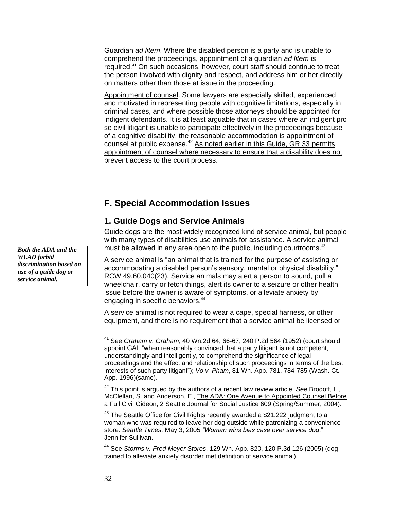Guardian *ad litem*. Where the disabled person is a party and is unable to comprehend the proceedings, appointment of a guardian *ad litem* is required.<sup>41</sup> On such occasions, however, court staff should continue to treat the person involved with dignity and respect, and address him or her directly on matters other than those at issue in the proceeding.

Appointment of counsel. Some lawyers are especially skilled, experienced and motivated in representing people with cognitive limitations, especially in criminal cases, and where possible those attorneys should be appointed for indigent defendants. It is at least arguable that in cases where an indigent pro se civil litigant is unable to participate effectively in the proceedings because of a cognitive disability, the reasonable accommodation is appointment of counsel at public expense.<sup>42</sup> As noted earlier in this Guide, GR 33 permits appointment of counsel where necessary to ensure that a disability does not prevent access to the court process.

### **F. Special Accommodation Issues**

### **1. Guide Dogs and Service Animals**

Guide dogs are the most widely recognized kind of service animal, but people with many types of disabilities use animals for assistance. A service animal must be allowed in any area open to the public, including courtrooms.<sup>43</sup>

A service animal is "an animal that is trained for the purpose of assisting or accommodating a disabled person's sensory, mental or physical disability." RCW 49.60.040(23). Service animals may alert a person to sound, pull a wheelchair, carry or fetch things, alert its owner to a seizure or other health issue before the owner is aware of symptoms, or alleviate anxiety by engaging in specific behaviors.<sup>44</sup>

A service animal is not required to wear a cape, special harness, or other equipment, and there is no requirement that a service animal be licensed or

<sup>42</sup> This point is argued by the authors of a recent law review article. *See* Brodoff, L., McClellan, S. and Anderson, E., The ADA: One Avenue to Appointed Counsel Before a Full Civil Gideon, 2 Seattle Journal for Social Justice 609 (Spring/Summer, 2004).

 $43$  The Seattle Office for Civil Rights recently awarded a \$21,222 judgment to a woman who was required to leave her dog outside while patronizing a convenience store. Seattle Times, May 3, 2005 "Woman wins bias case over service dog," Jennifer Sullivan.

<sup>44</sup> See *Storms v. Fred Meyer Stores*, 129 Wn. App. 820, 120 P.3d 126 (2005) (dog trained to alleviate anxiety disorder met definition of service animal).

*Both the ADA and the WLAD forbid discrimination based on use of a guide dog or service animal.*

 $\overline{a}$ 

<sup>41</sup> See *Graham v. Graham*, 40 Wn.2d 64, 66-67, 240 P.2d 564 (1952) (court should appoint GAL "when reasonably convinced that a party litigant is not competent, understandingly and intelligently, to comprehend the significance of legal proceedings and the effect and relationship of such proceedings in terms of the best interests of such party litigant"); *Vo v. Pham*, 81 Wn. App. 781, 784-785 (Wash. Ct. App. 1996)(same).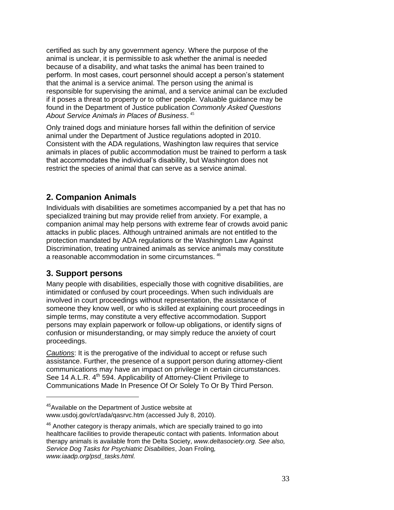certified as such by any government agency. Where the purpose of the animal is unclear, it is permissible to ask whether the animal is needed because of a disability, and what tasks the animal has been trained to perform. In most cases, court personnel should accept a person's statement that the animal is a service animal. The person using the animal is responsible for supervising the animal, and a service animal can be excluded if it poses a threat to property or to other people. Valuable guidance may be found in the Department of Justice publication *Commonly Asked Questions About Service Animals in Places of Business*. 45

Only trained dogs and miniature horses fall within the definition of service animal under the Department of Justice regulations adopted in 2010. Consistent with the ADA regulations, Washington law requires that service animals in places of public accommodation must be trained to perform a task that accommodates the individual's disability, but Washington does not restrict the species of animal that can serve as a service animal.

### **2. Companion Animals**

Individuals with disabilities are sometimes accompanied by a pet that has no specialized training but may provide relief from anxiety. For example, a companion animal may help persons with extreme fear of crowds avoid panic attacks in public places. Although untrained animals are not entitled to the protection mandated by ADA regulations or the Washington Law Against Discrimination, treating untrained animals as service animals may constitute a reasonable accommodation in some circumstances. <sup>46</sup>

### **3. Support persons**

Many people with disabilities, especially those with cognitive disabilities, are intimidated or confused by court proceedings. When such individuals are involved in court proceedings without representation, the assistance of someone they know well, or who is skilled at explaining court proceedings in simple terms, may constitute a very effective accommodation. Support persons may explain paperwork or follow-up obligations, or identify signs of confusion or misunderstanding, or may simply reduce the anxiety of court proceedings.

*Cautions*: It is the prerogative of the individual to accept or refuse such assistance. Further, the presence of a support person during attorney-client communications may have an impact on privilege in certain circumstances. See 14 A.L.R. 4<sup>th</sup> 594. Applicability of Attorney-Client Privilege to Communications Made In Presence Of Or Solely To Or By Third Person.

<sup>&</sup>lt;sup>45</sup> Available on the Department of Justice website at [www.usdoj.gov/crt/ada/qasrvc.htm](http://www.usdoj.gov/crt/ada/qasrvc.htm) (accessed July 8, 2010).

<sup>&</sup>lt;sup>46</sup> Another category is therapy animals, which are specially trained to go into healthcare facilities to provide therapeutic contact with patients. Information about therapy animals is available from the Delta Society, *[www.deltasociety.org.](http://www.deltasociety.org/) See also, Service Dog Tasks for Psychiatric Disabilities*, Joan Froling*, [www.iaadp.org/psd\\_tasks.html.](http://www.iaadp.org/psd_tasks.html)*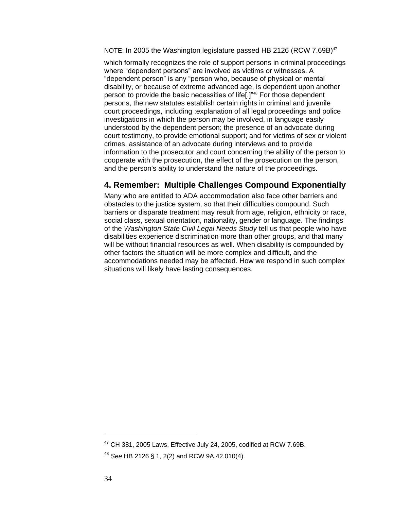NOTE: In 2005 the Washington legislature passed HB 2126 (RCW 7.69B) $^{47}$ 

which formally recognizes the role of support persons in criminal proceedings where "dependent persons" are involved as victims or witnesses. A "dependent person" is any "person who, because of physical or mental disability, or because of extreme advanced age, is dependent upon another person to provide the basic necessities of life[.]"<sup>48</sup> For those dependent persons, the new statutes establish certain rights in criminal and juvenile court proceedings, including :explanation of all legal proceedings and police investigations in which the person may be involved, in language easily understood by the dependent person; the presence of an advocate during court testimony, to provide emotional support; and for victims of sex or violent crimes, assistance of an advocate during interviews and to provide information to the prosecutor and court concerning the ability of the person to cooperate with the prosecution, the effect of the prosecution on the person, and the person's ability to understand the nature of the proceedings.

### **4. Remember: Multiple Challenges Compound Exponentially**

Many who are entitled to ADA accommodation also face other barriers and obstacles to the justice system, so that their difficulties compound. Such barriers or disparate treatment may result from age, religion, ethnicity or race, social class, sexual orientation, nationality, gender or language. The findings of the *Washington State Civil Legal Needs Study* tell us that people who have disabilities experience discrimination more than other groups, and that many will be without financial resources as well. When disability is compounded by other factors the situation will be more complex and difficult, and the accommodations needed may be affected. How we respond in such complex situations will likely have lasting consequences.

<sup>&</sup>lt;sup>47</sup> CH 381, 2005 Laws, Effective July 24, 2005, codified at RCW 7.69B.

<sup>48</sup> *See* HB 2126 § 1, 2(2) and RCW 9A.42.010(4).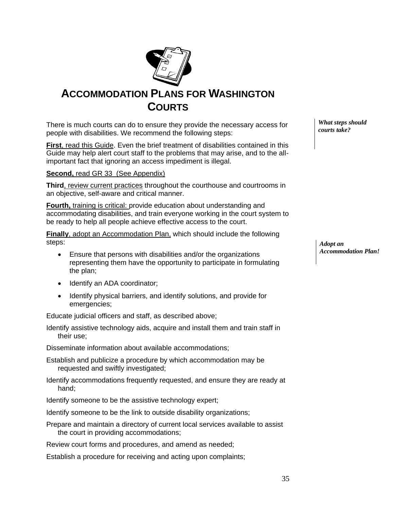

# **ACCOMMODATION PLANS FOR WASHINGTON COURTS**

There is much courts can do to ensure they provide the necessary access for people with disabilities. We recommend the following steps:

**First**, read this Guide. Even the brief treatment of disabilities contained in this Guide may help alert court staff to the problems that may arise, and to the allimportant fact that ignoring an access impediment is illegal.

#### **Second,** read GR 33 (See Appendix)

**Third**, review current practices throughout the courthouse and courtrooms in an objective, self-aware and critical manner.

**Fourth,** training is critical: provide education about understanding and accommodating disabilities, and train everyone working in the court system to be ready to help all people achieve effective access to the court.

**Finally**, adopt an Accommodation Plan, which should include the following steps:

- Ensure that persons with disabilities and/or the organizations representing them have the opportunity to participate in formulating the plan;
- Identify an ADA coordinator;
- Identify physical barriers, and identify solutions, and provide for emergencies;

Educate judicial officers and staff, as described above;

Identify assistive technology aids, acquire and install them and train staff in their use;

Disseminate information about available accommodations;

Establish and publicize a procedure by which accommodation may be requested and swiftly investigated;

Identify accommodations frequently requested, and ensure they are ready at hand;

Identify someone to be the assistive technology expert;

Identify someone to be the link to outside disability organizations;

Prepare and maintain a directory of current local services available to assist the court in providing accommodations;

Review court forms and procedures, and amend as needed;

Establish a procedure for receiving and acting upon complaints;

*What steps should courts take?*

*Adopt an Accommodation Plan!*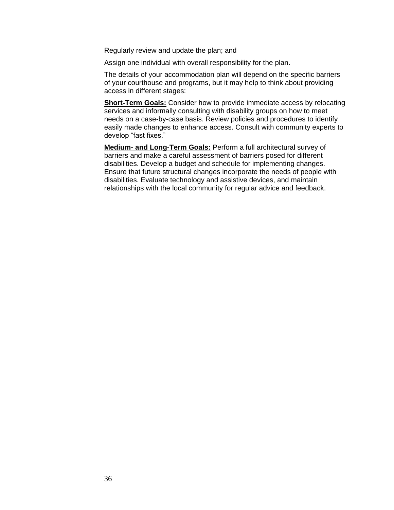Regularly review and update the plan; and

Assign one individual with overall responsibility for the plan.

The details of your accommodation plan will depend on the specific barriers of your courthouse and programs, but it may help to think about providing access in different stages:

**Short-Term Goals:** Consider how to provide immediate access by relocating services and informally consulting with disability groups on how to meet needs on a case-by-case basis. Review policies and procedures to identify easily made changes to enhance access. Consult with community experts to develop "fast fixes."

**Medium- and Long-Term Goals:** Perform a full architectural survey of barriers and make a careful assessment of barriers posed for different disabilities. Develop a budget and schedule for implementing changes. Ensure that future structural changes incorporate the needs of people with disabilities. Evaluate technology and assistive devices, and maintain relationships with the local community for regular advice and feedback.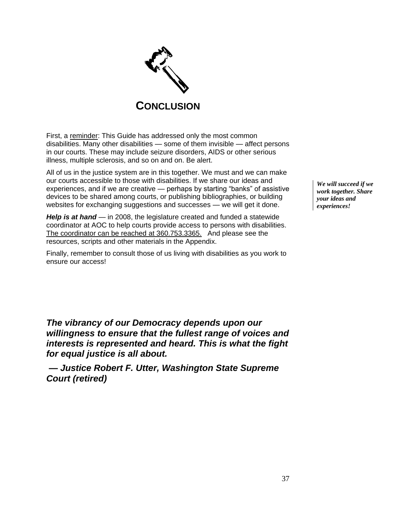

First, a reminder: This Guide has addressed only the most common disabilities. Many other disabilities — some of them invisible — affect persons in our courts. These may include seizure disorders, AIDS or other serious illness, multiple sclerosis, and so on and on. Be alert.

All of us in the justice system are in this together. We must and we can make our courts accessible to those with disabilities. If we share our ideas and experiences, and if we are creative — perhaps by starting "banks" of assistive devices to be shared among courts, or publishing bibliographies, or building websites for exchanging suggestions and successes — we will get it done.

*Help is at hand* — in 2008, the legislature created and funded a statewide coordinator at AOC to help courts provide access to persons with disabilities. The coordinator can be reached at 360.753.3365. And please see the resources, scripts and other materials in the Appendix.

Finally, remember to consult those of us living with disabilities as you work to ensure our access!

*We will succeed if we work together. Share your ideas and experiences!*

*The vibrancy of our Democracy depends upon our willingness to ensure that the fullest range of voices and interests is represented and heard. This is what the fight for equal justice is all about.*

*— Justice Robert F. Utter, Washington State Supreme Court (retired)*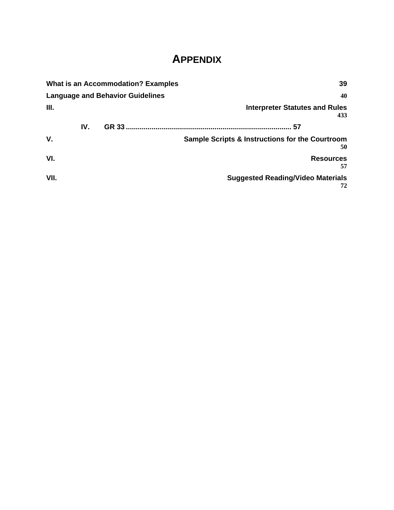# **APPENDIX**

|      |     | <b>What is an Accommodation? Examples</b> | 39                                                               |
|------|-----|-------------------------------------------|------------------------------------------------------------------|
|      |     | <b>Language and Behavior Guidelines</b>   | 40                                                               |
| III. |     |                                           | <b>Interpreter Statutes and Rules</b><br>433                     |
|      | IV. |                                           |                                                                  |
| V.   |     |                                           | <b>Sample Scripts &amp; Instructions for the Courtroom</b><br>50 |
| VI.  |     |                                           | <b>Resources</b><br>57                                           |
| VII. |     |                                           | <b>Suggested Reading/Video Materials</b><br>72                   |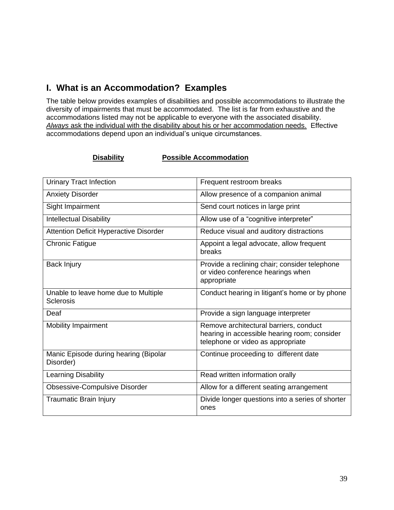### **I. What is an Accommodation? Examples**

The table below provides examples of disabilities and possible accommodations to illustrate the diversity of impairments that must be accommodated. The list is far from exhaustive and the accommodations listed may not be applicable to everyone with the associated disability. *Always* ask the individual with the disability about his or her accommodation needs. Effective accommodations depend upon an individual's unique circumstances.

#### **Disability Possible Accommodation**

| <b>Urinary Tract Infection</b>                           | Frequent restroom breaks                                                                                                    |
|----------------------------------------------------------|-----------------------------------------------------------------------------------------------------------------------------|
| <b>Anxiety Disorder</b>                                  | Allow presence of a companion animal                                                                                        |
| Sight Impairment                                         | Send court notices in large print                                                                                           |
| <b>Intellectual Disability</b>                           | Allow use of a "cognitive interpreter"                                                                                      |
| <b>Attention Deficit Hyperactive Disorder</b>            | Reduce visual and auditory distractions                                                                                     |
| <b>Chronic Fatigue</b>                                   | Appoint a legal advocate, allow frequent<br>breaks                                                                          |
| Back Injury                                              | Provide a reclining chair; consider telephone<br>or video conference hearings when<br>appropriate                           |
| Unable to leave home due to Multiple<br><b>Sclerosis</b> | Conduct hearing in litigant's home or by phone                                                                              |
| Deaf                                                     | Provide a sign language interpreter                                                                                         |
| <b>Mobility Impairment</b>                               | Remove architectural barriers, conduct<br>hearing in accessible hearing room; consider<br>telephone or video as appropriate |
| Manic Episode during hearing (Bipolar<br>Disorder)       | Continue proceeding to different date                                                                                       |
| Learning Disability                                      | Read written information orally                                                                                             |
| <b>Obsessive-Compulsive Disorder</b>                     | Allow for a different seating arrangement                                                                                   |
| <b>Traumatic Brain Injury</b>                            | Divide longer questions into a series of shorter<br>ones                                                                    |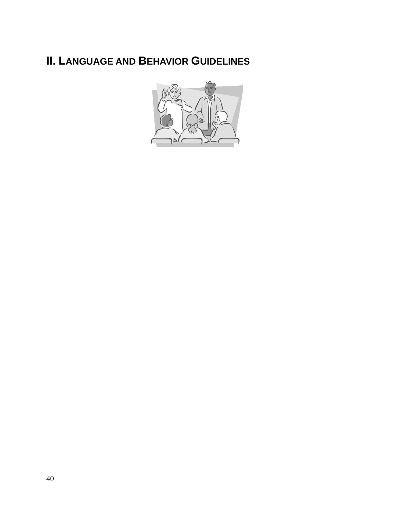# <span id="page-45-0"></span>**II. LANGUAGE AND BEHAVIOR GUIDELINES**

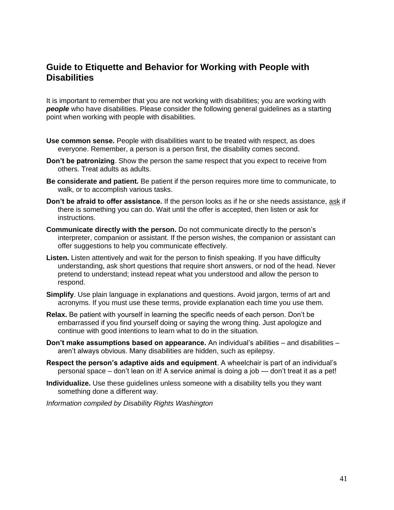### **Guide to Etiquette and Behavior for Working with People with Disabilities**

It is important to remember that you are not working with disabilities; you are working with *people* who have disabilities. Please consider the following general guidelines as a starting point when working with people with disabilities.

- **Use common sense.** People with disabilities want to be treated with respect, as does everyone. Remember, a person is a person first, the disability comes second.
- **Don't be patronizing**. Show the person the same respect that you expect to receive from others. Treat adults as adults.
- **Be considerate and patient.** Be patient if the person requires more time to communicate, to walk, or to accomplish various tasks.
- **Don't be afraid to offer assistance.** If the person looks as if he or she needs assistance, ask if there is something you can do. Wait until the offer is accepted, then listen or ask for instructions.
- **Communicate directly with the person.** Do not communicate directly to the person's interpreter, companion or assistant. If the person wishes, the companion or assistant can offer suggestions to help you communicate effectively.
- **Listen.** Listen attentively and wait for the person to finish speaking. If you have difficulty understanding, ask short questions that require short answers, or nod of the head. Never pretend to understand; instead repeat what you understood and allow the person to respond.
- **Simplify**. Use plain language in explanations and questions. Avoid jargon, terms of art and acronyms. If you must use these terms, provide explanation each time you use them.
- **Relax.** Be patient with yourself in learning the specific needs of each person. Don't be embarrassed if you find yourself doing or saying the wrong thing. Just apologize and continue with good intentions to learn what to do in the situation.
- **Don't make assumptions based on appearance.** An individual's abilities and disabilities aren't always obvious. Many disabilities are hidden, such as epilepsy.
- **Respect the person's adaptive aids and equipment**. A wheelchair is part of an individual's personal space – don't lean on it! A service animal is doing a job — don't treat it as a pet!
- **Individualize.** Use these guidelines unless someone with a disability tells you they want something done a different way.

*Information compiled by Disability Rights Washington*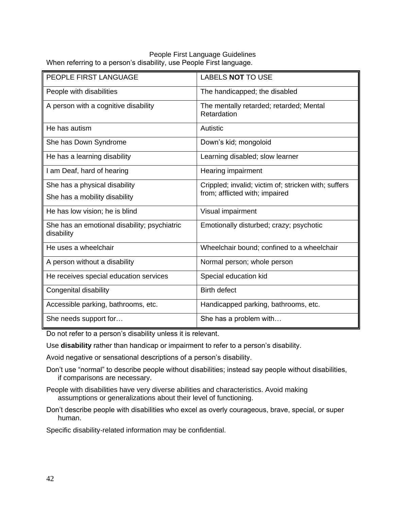#### People First Language Guidelines When referring to a person's disability, use People First language.

| PEOPLE FIRST LANGUAGE                                      | <b>LABELS NOT TO USE</b>                                                               |
|------------------------------------------------------------|----------------------------------------------------------------------------------------|
| People with disabilities                                   | The handicapped; the disabled                                                          |
| A person with a cognitive disability                       | The mentally retarded; retarded; Mental<br>Retardation                                 |
| He has autism                                              | Autistic                                                                               |
| She has Down Syndrome                                      | Down's kid; mongoloid                                                                  |
| He has a learning disability                               | Learning disabled; slow learner                                                        |
| I am Deaf, hard of hearing                                 | Hearing impairment                                                                     |
| She has a physical disability                              | Crippled; invalid; victim of; stricken with; suffers<br>from; afflicted with; impaired |
| She has a mobility disability                              |                                                                                        |
| He has low vision; he is blind                             | Visual impairment                                                                      |
| She has an emotional disability; psychiatric<br>disability | Emotionally disturbed; crazy; psychotic                                                |
| He uses a wheelchair                                       | Wheelchair bound; confined to a wheelchair                                             |
| A person without a disability                              | Normal person; whole person                                                            |
| He receives special education services                     | Special education kid                                                                  |
| Congenital disability                                      | <b>Birth defect</b>                                                                    |
| Accessible parking, bathrooms, etc.                        | Handicapped parking, bathrooms, etc.                                                   |
| She needs support for                                      | She has a problem with                                                                 |

Do not refer to a person's disability unless it is relevant.

Use **disability** rather than handicap or impairment to refer to a person's disability.

Avoid negative or sensational descriptions of a person's disability.

Don't use "normal" to describe people without disabilities; instead say people without disabilities, if comparisons are necessary.

People with disabilities have very diverse abilities and characteristics. Avoid making assumptions or generalizations about their level of functioning.

Don't describe people with disabilities who excel as overly courageous, brave, special, or super human.

Specific disability-related information may be confidential.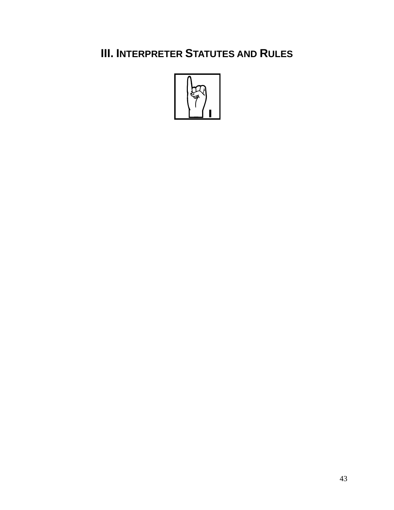# <span id="page-48-0"></span>**III. INTERPRETER STATUTES AND RULES**

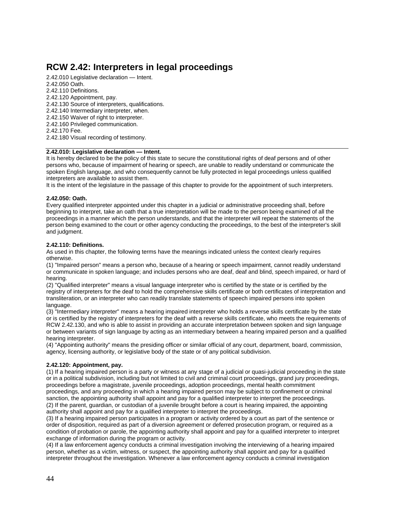### **RCW 2.42: Interpreters in legal proceedings**

2.42.010 Legislative declaration — Intent. 2.42.050 Oath. 2.42.110 Definitions. 2.42.120 Appointment, pay. 2.42.130 Source of interpreters, qualifications. 2.42.140 Intermediary interpreter, when. 2.42.150 Waiver of right to interpreter. 2.42.160 Privileged communication. 2.42.170 Fee. 2.42.180 Visual recording of testimony.

#### **2.42.010: Legislative declaration — Intent.**

It is hereby declared to be the policy of this state to secure the constitutional rights of deaf persons and of other persons who, because of impairment of hearing or speech, are unable to readily understand or communicate the spoken English language, and who consequently cannot be fully protected in legal proceedings unless qualified interpreters are available to assist them.

It is the intent of the legislature in the passage of this chapter to provide for the appointment of such interpreters.

#### **2.42.050: Oath.**

Every qualified interpreter appointed under this chapter in a judicial or administrative proceeding shall, before beginning to interpret, take an oath that a true interpretation will be made to the person being examined of all the proceedings in a manner which the person understands, and that the interpreter will repeat the statements of the person being examined to the court or other agency conducting the proceedings, to the best of the interpreter's skill and judgment.

#### **2.42.110: Definitions.**

As used in this chapter, the following terms have the meanings indicated unless the context clearly requires otherwise.

(1) "Impaired person" means a person who, because of a hearing or speech impairment, cannot readily understand or communicate in spoken language; and includes persons who are deaf, deaf and blind, speech impaired, or hard of hearing.

(2) "Qualified interpreter" means a visual language interpreter who is certified by the state or is certified by the registry of interpreters for the deaf to hold the comprehensive skills certificate or both certificates of interpretation and transliteration, or an interpreter who can readily translate statements of speech impaired persons into spoken language.

(3) "Intermediary interpreter" means a hearing impaired interpreter who holds a reverse skills certificate by the state or is certified by the registry of interpreters for the deaf with a reverse skills certificate, who meets the requirements of RCW 2.42.130, and who is able to assist in providing an accurate interpretation between spoken and sign language or between variants of sign language by acting as an intermediary between a hearing impaired person and a qualified hearing interpreter.

(4) "Appointing authority" means the presiding officer or similar official of any court, department, board, commission, agency, licensing authority, or legislative body of the state or of any political subdivision.

#### **2.42.120: Appointment, pay.**

(1) If a hearing impaired person is a party or witness at any stage of a judicial or quasi-judicial proceeding in the state or in a political subdivision, including but not limited to civil and criminal court proceedings, grand jury proceedings, proceedings before a magistrate, juvenile proceedings, adoption proceedings, mental health commitment proceedings, and any proceeding in which a hearing impaired person may be subject to confinement or criminal sanction, the appointing authority shall appoint and pay for a qualified interpreter to interpret the proceedings. (2) If the parent, guardian, or custodian of a juvenile brought before a court is hearing impaired, the appointing authority shall appoint and pay for a qualified interpreter to interpret the proceedings.

(3) If a hearing impaired person participates in a program or activity ordered by a court as part of the sentence or order of disposition, required as part of a diversion agreement or deferred prosecution program, or required as a condition of probation or parole, the appointing authority shall appoint and pay for a qualified interpreter to interpret exchange of information during the program or activity.

(4) If a law enforcement agency conducts a criminal investigation involving the interviewing of a hearing impaired person, whether as a victim, witness, or suspect, the appointing authority shall appoint and pay for a qualified interpreter throughout the investigation. Whenever a law enforcement agency conducts a criminal investigation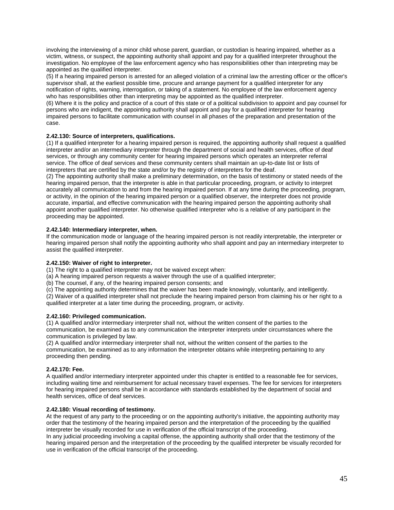involving the interviewing of a minor child whose parent, guardian, or custodian is hearing impaired, whether as a victim, witness, or suspect, the appointing authority shall appoint and pay for a qualified interpreter throughout the investigation. No employee of the law enforcement agency who has responsibilities other than interpreting may be appointed as the qualified interpreter.

(5) If a hearing impaired person is arrested for an alleged violation of a criminal law the arresting officer or the officer's supervisor shall, at the earliest possible time, procure and arrange payment for a qualified interpreter for any notification of rights, warning, interrogation, or taking of a statement. No employee of the law enforcement agency who has responsibilities other than interpreting may be appointed as the qualified interpreter.

(6) Where it is the policy and practice of a court of this state or of a political subdivision to appoint and pay counsel for persons who are indigent, the appointing authority shall appoint and pay for a qualified interpreter for hearing impaired persons to facilitate communication with counsel in all phases of the preparation and presentation of the case.

#### **2.42.130: Source of interpreters, qualifications.**

(1) If a qualified interpreter for a hearing impaired person is required, the appointing authority shall request a qualified interpreter and/or an intermediary interpreter through the department of social and health services, office of deaf services, or through any community center for hearing impaired persons which operates an interpreter referral service. The office of deaf services and these community centers shall maintain an up-to-date list or lists of interpreters that are certified by the state and/or by the registry of interpreters for the deaf.

(2) The appointing authority shall make a preliminary determination, on the basis of testimony or stated needs of the hearing impaired person, that the interpreter is able in that particular proceeding, program, or activity to interpret accurately all communication to and from the hearing impaired person. If at any time during the proceeding, program, or activity, in the opinion of the hearing impaired person or a qualified observer, the interpreter does not provide accurate, impartial, and effective communication with the hearing impaired person the appointing authority shall appoint another qualified interpreter. No otherwise qualified interpreter who is a relative of any participant in the proceeding may be appointed.

#### **2.42.140: Intermediary interpreter, when.**

If the communication mode or language of the hearing impaired person is not readily interpretable, the interpreter or hearing impaired person shall notify the appointing authority who shall appoint and pay an intermediary interpreter to assist the qualified interpreter.

#### **2.42.150: Waiver of right to interpreter.**

(1) The right to a qualified interpreter may not be waived except when:

(a) A hearing impaired person requests a waiver through the use of a qualified interpreter;

(b) The counsel, if any, of the hearing impaired person consents; and

(c) The appointing authority determines that the waiver has been made knowingly, voluntarily, and intelligently.

(2) Waiver of a qualified interpreter shall not preclude the hearing impaired person from claiming his or her right to a qualified interpreter at a later time during the proceeding, program, or activity.

#### **2.42.160: Privileged communication.**

(1) A qualified and/or intermediary interpreter shall not, without the written consent of the parties to the communication, be examined as to any communication the interpreter interprets under circumstances where the communication is privileged by law.

(2) A qualified and/or intermediary interpreter shall not, without the written consent of the parties to the communication, be examined as to any information the interpreter obtains while interpreting pertaining to any proceeding then pending.

#### **2.42.170: Fee.**

A qualified and/or intermediary interpreter appointed under this chapter is entitled to a reasonable fee for services, including waiting time and reimbursement for actual necessary travel expenses. The fee for services for interpreters for hearing impaired persons shall be in accordance with standards established by the department of social and health services, office of deaf services.

#### **2.42.180: Visual recording of testimony.**

At the request of any party to the proceeding or on the appointing authority's initiative, the appointing authority may order that the testimony of the hearing impaired person and the interpretation of the proceeding by the qualified interpreter be visually recorded for use in verification of the official transcript of the proceeding. In any judicial proceeding involving a capital offense, the appointing authority shall order that the testimony of the

hearing impaired person and the interpretation of the proceeding by the qualified interpreter be visually recorded for use in verification of the official transcript of the proceeding.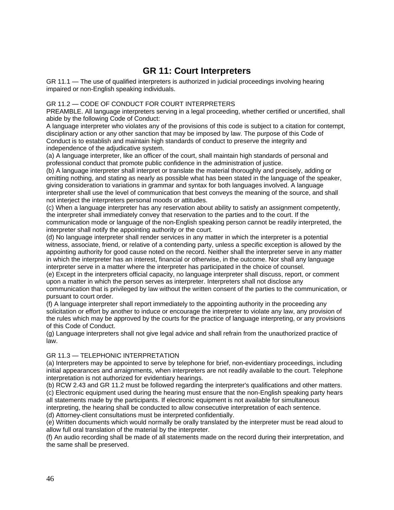### **GR 11: Court Interpreters**

GR 11.1 — The use of qualified interpreters is authorized in judicial proceedings involving hearing impaired or non-English speaking individuals.

#### GR 11.2 — CODE OF CONDUCT FOR COURT INTERPRETERS

PREAMBLE. All language interpreters serving in a legal proceeding, whether certified or uncertified, shall abide by the following Code of Conduct:

A language interpreter who violates any of the provisions of this code is subject to a citation for contempt, disciplinary action or any other sanction that may be imposed by law. The purpose of this Code of Conduct is to establish and maintain high standards of conduct to preserve the integrity and independence of the adjudicative system.

(a) A language interpreter, like an officer of the court, shall maintain high standards of personal and professional conduct that promote public confidence in the administration of justice.

(b) A language interpreter shall interpret or translate the material thoroughly and precisely, adding or omitting nothing, and stating as nearly as possible what has been stated in the language of the speaker, giving consideration to variations in grammar and syntax for both languages involved. A language interpreter shall use the level of communication that best conveys the meaning of the source, and shall not interject the interpreters personal moods or attitudes.

(c) When a language interpreter has any reservation about ability to satisfy an assignment competently, the interpreter shall immediately convey that reservation to the parties and to the court. If the communication mode or language of the non-English speaking person cannot be readily interpreted, the interpreter shall notify the appointing authority or the court.

(d) No language interpreter shall render services in any matter in which the interpreter is a potential witness, associate, friend, or relative of a contending party, unless a specific exception is allowed by the appointing authority for good cause noted on the record. Neither shall the interpreter serve in any matter in which the interpreter has an interest, financial or otherwise, in the outcome. Nor shall any language interpreter serve in a matter where the interpreter has participated in the choice of counsel.

(e) Except in the interpreters official capacity, no language interpreter shall discuss, report, or comment upon a matter in which the person serves as interpreter. Interpreters shall not disclose any

communication that is privileged by law without the written consent of the parties to the communication, or pursuant to court order.

(f) A language interpreter shall report immediately to the appointing authority in the proceeding any solicitation or effort by another to induce or encourage the interpreter to violate any law, any provision of the rules which may be approved by the courts for the practice of language interpreting, or any provisions of this Code of Conduct.

(g) Language interpreters shall not give legal advice and shall refrain from the unauthorized practice of law.

#### GR 11.3 — TELEPHONIC INTERPRETATION

(a) Interpreters may be appointed to serve by telephone for brief, non-evidentiary proceedings, including initial appearances and arraignments, when interpreters are not readily available to the court. Telephone interpretation is not authorized for evidentiary hearings.

(b) RCW 2.43 and GR 11.2 must be followed regarding the interpreter's qualifications and other matters. (c) Electronic equipment used during the hearing must ensure that the non-English speaking party hears all statements made by the participants. If electronic equipment is not available for simultaneous interpreting, the hearing shall be conducted to allow consecutive interpretation of each sentence.

(d) Attorney-client consultations must be interpreted confidentially.

(e) Written documents which would normally be orally translated by the interpreter must be read aloud to allow full oral translation of the material by the interpreter.

(f) An audio recording shall be made of all statements made on the record during their interpretation, and the same shall be preserved.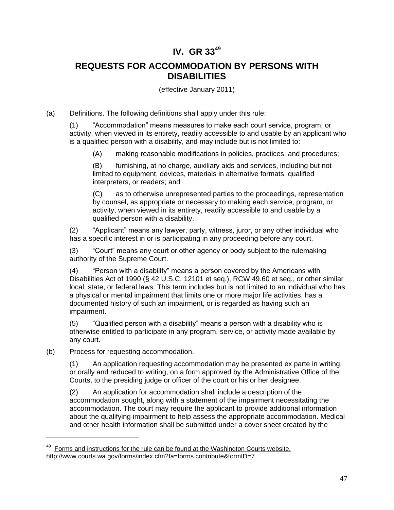### **IV. GR 33<sup>49</sup>**

### **REQUESTS FOR ACCOMMODATION BY PERSONS WITH DISABILITIES**

(effective January 2011)

(a) Definitions. The following definitions shall apply under this rule:

(1) **EXECOMMODATION** means measures to make each court service, program, or activity, when viewed in its entirety, readily accessible to and usable by an applicant who is a qualified person with a disability, and may include but is not limited to:

(A) making reasonable modifications in policies, practices, and procedures;

(B) furnishing, at no charge, auxiliary aids and services, including but not limited to equipment, devices, materials in alternative formats, qualified interpreters, or readers; and

(C) as to otherwise unrepresented parties to the proceedings, representation by counsel, as appropriate or necessary to making each service, program, or activity, when viewed in its entirety, readily accessible to and usable by a qualified person with a disability.

(2) "Applicant" means any lawyer, party, witness, juror, or any other individual who has a specific interest in or is participating in any proceeding before any court.

(3) "Court" means any court or other agency or body subject to the rulemaking authority of the Supreme Court.

(4) **The Peason with a disability** means a person covered by the Americans with Disabilities Act of 1990 (§ 42 U.S.C. 12101 et seq.), RCW 49.60 et seq., or other similar local, state, or federal laws. This term includes but is not limited to an individual who has a physical or mental impairment that limits one or more major life activities, has a documented history of such an impairment, or is regarded as having such an impairment.

(5) "Qualified person with a disability" means a person with a disability who is otherwise entitled to participate in any program, service, or activity made available by any court.

(b) Process for requesting accommodation.

(1) An application requesting accommodation may be presented ex parte in writing, or orally and reduced to writing, on a form approved by the Administrative Office of the Courts, to the presiding judge or officer of the court or his or her designee.

(2) An application for accommodation shall include a description of the accommodation sought, along with a statement of the impairment necessitating the accommodation. The court may require the applicant to provide additional information about the qualifying impairment to help assess the appropriate accommodation. Medical and other health information shall be submitted under a cover sheet created by the

<sup>&</sup>lt;sup>49</sup> Forms and instructions for the rule can be found at the Washington Courts website, http://www.courts.wa.gov/forms/index.cfm?fa=forms.contribute&formID=7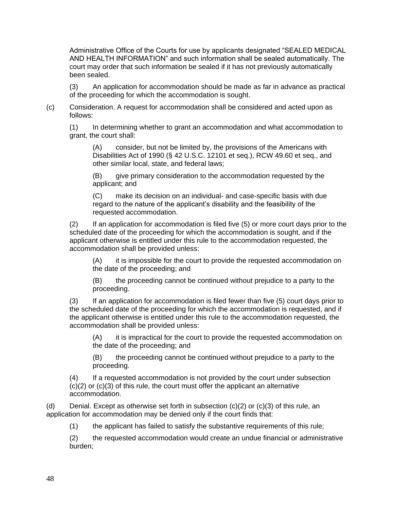Administrative Office of the Courts for use by applicants designated "SEALED MEDICAL AND HEALTH INFORMATION‖ and such information shall be sealed automatically. The court may order that such information be sealed if it has not previously automatically been sealed.

(3) An application for accommodation should be made as far in advance as practical of the proceeding for which the accommodation is sought.

(c) Consideration. A request for accommodation shall be considered and acted upon as follows:

(1) In determining whether to grant an accommodation and what accommodation to grant, the court shall:

(A) consider, but not be limited by, the provisions of the Americans with Disabilities Act of 1990 (§ 42 U.S.C. 12101 et seq.), RCW 49.60 et seq., and other similar local, state, and federal laws;

(B) give primary consideration to the accommodation requested by the applicant; and

(C) make its decision on an individual- and case-specific basis with due regard to the nature of the applicant's disability and the feasibility of the requested accommodation.

(2) If an application for accommodation is filed five (5) or more court days prior to the scheduled date of the proceeding for which the accommodation is sought, and if the applicant otherwise is entitled under this rule to the accommodation requested, the accommodation shall be provided unless:

(A) it is impossible for the court to provide the requested accommodation on the date of the proceeding; and

(B) the proceeding cannot be continued without prejudice to a party to the proceeding.

(3) If an application for accommodation is filed fewer than five (5) court days prior to the scheduled date of the proceeding for which the accommodation is requested, and if the applicant otherwise is entitled under this rule to the accommodation requested, the accommodation shall be provided unless:

(A) it is impractical for the court to provide the requested accommodation on the date of the proceeding; and

(B) the proceeding cannot be continued without prejudice to a party to the proceeding.

(4) If a requested accommodation is not provided by the court under subsection (c)(2) or (c)(3) of this rule, the court must offer the applicant an alternative accommodation.

(d) Denial. Except as otherwise set forth in subsection  $(c)(2)$  or  $(c)(3)$  of this rule, an application for accommodation may be denied only if the court finds that:

(1) the applicant has failed to satisfy the substantive requirements of this rule;

(2) the requested accommodation would create an undue financial or administrative burden;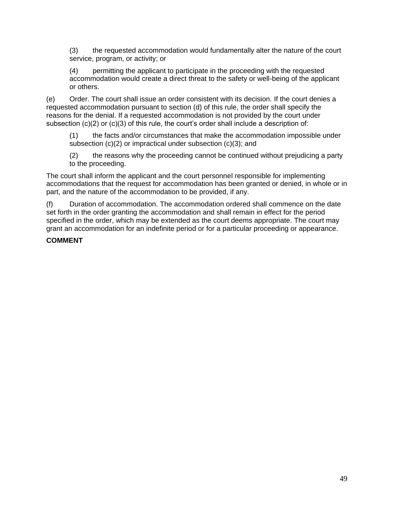(3) the requested accommodation would fundamentally alter the nature of the court service, program, or activity; or

(4) permitting the applicant to participate in the proceeding with the requested accommodation would create a direct threat to the safety or well-being of the applicant or others.

(e) Order. The court shall issue an order consistent with its decision. If the court denies a requested accommodation pursuant to section (d) of this rule, the order shall specify the reasons for the denial. If a requested accommodation is not provided by the court under subsection (c)(2) or (c)(3) of this rule, the court's order shall include a description of:

(1) the facts and/or circumstances that make the accommodation impossible under subsection (c)(2) or impractical under subsection (c)(3); and

(2) the reasons why the proceeding cannot be continued without prejudicing a party to the proceeding.

The court shall inform the applicant and the court personnel responsible for implementing accommodations that the request for accommodation has been granted or denied, in whole or in part, and the nature of the accommodation to be provided, if any.

(f) Duration of accommodation. The accommodation ordered shall commence on the date set forth in the order granting the accommodation and shall remain in effect for the period specified in the order, which may be extended as the court deems appropriate. The court may grant an accommodation for an indefinite period or for a particular proceeding or appearance.

### **COMMENT**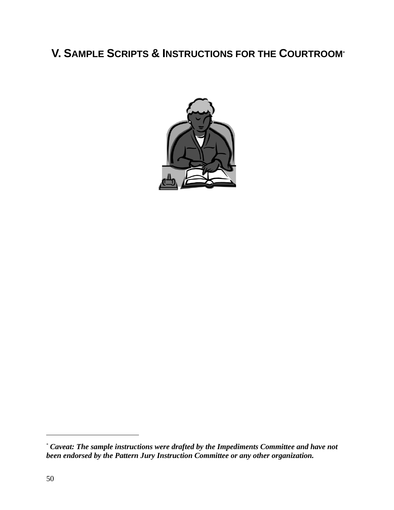# <span id="page-55-0"></span>**V. SAMPLE SCRIPTS & INSTRUCTIONS FOR THE COURTROOM\***



<sup>\*</sup> *Caveat: The sample instructions were drafted by the Impediments Committee and have not been endorsed by the Pattern Jury Instruction Committee or any other organization.*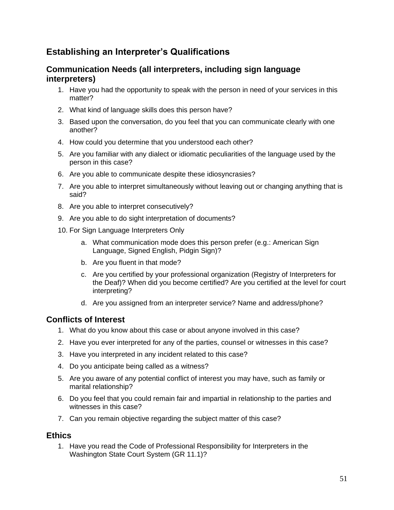### **Establishing an Interpreter's Qualifications**

### **Communication Needs (all interpreters, including sign language interpreters)**

- 1. Have you had the opportunity to speak with the person in need of your services in this matter?
- 2. What kind of language skills does this person have?
- 3. Based upon the conversation, do you feel that you can communicate clearly with one another?
- 4. How could you determine that you understood each other?
- 5. Are you familiar with any dialect or idiomatic peculiarities of the language used by the person in this case?
- 6. Are you able to communicate despite these idiosyncrasies?
- 7. Are you able to interpret simultaneously without leaving out or changing anything that is said?
- 8. Are you able to interpret consecutively?
- 9. Are you able to do sight interpretation of documents?
- 10. For Sign Language Interpreters Only
	- a. What communication mode does this person prefer (e.g.: American Sign Language, Signed English, Pidgin Sign)?
	- b. Are you fluent in that mode?
	- c. Are you certified by your professional organization (Registry of Interpreters for the Deaf)? When did you become certified? Are you certified at the level for court interpreting?
	- d. Are you assigned from an interpreter service? Name and address/phone?

### **Conflicts of Interest**

- 1. What do you know about this case or about anyone involved in this case?
- 2. Have you ever interpreted for any of the parties, counsel or witnesses in this case?
- 3. Have you interpreted in any incident related to this case?
- 4. Do you anticipate being called as a witness?
- 5. Are you aware of any potential conflict of interest you may have, such as family or marital relationship?
- 6. Do you feel that you could remain fair and impartial in relationship to the parties and witnesses in this case?
- 7. Can you remain objective regarding the subject matter of this case?

### **Ethics**

1. Have you read the Code of Professional Responsibility for Interpreters in the Washington State Court System (GR 11.1)?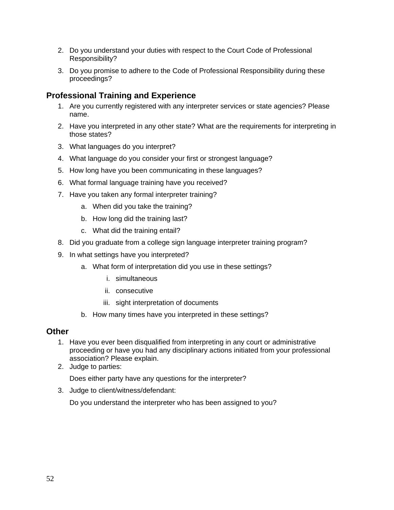- 2. Do you understand your duties with respect to the Court Code of Professional Responsibility?
- 3. Do you promise to adhere to the Code of Professional Responsibility during these proceedings?

### **Professional Training and Experience**

- 1. Are you currently registered with any interpreter services or state agencies? Please name.
- 2. Have you interpreted in any other state? What are the requirements for interpreting in those states?
- 3. What languages do you interpret?
- 4. What language do you consider your first or strongest language?
- 5. How long have you been communicating in these languages?
- 6. What formal language training have you received?
- 7. Have you taken any formal interpreter training?
	- a. When did you take the training?
	- b. How long did the training last?
	- c. What did the training entail?
- 8. Did you graduate from a college sign language interpreter training program?
- 9. In what settings have you interpreted?
	- a. What form of interpretation did you use in these settings?
		- i. simultaneous
		- ii. consecutive
		- iii. sight interpretation of documents
	- b. How many times have you interpreted in these settings?

### **Other**

- 1. Have you ever been disqualified from interpreting in any court or administrative proceeding or have you had any disciplinary actions initiated from your professional association? Please explain.
- 2. Judge to parties:

Does either party have any questions for the interpreter?

3. Judge to client/witness/defendant:

Do you understand the interpreter who has been assigned to you?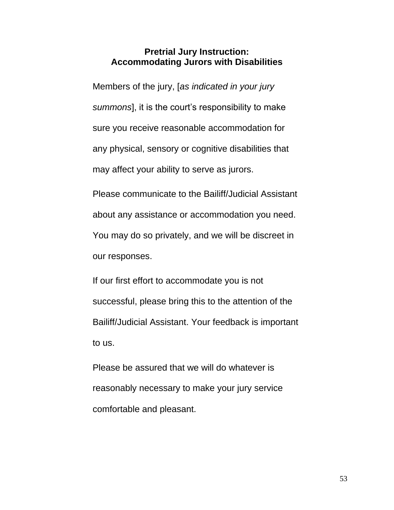### **Pretrial Jury Instruction: Accommodating Jurors with Disabilities**

Members of the jury, [*as indicated in your jury summons*], it is the court's responsibility to make sure you receive reasonable accommodation for any physical, sensory or cognitive disabilities that may affect your ability to serve as jurors.

Please communicate to the Bailiff/Judicial Assistant about any assistance or accommodation you need. You may do so privately, and we will be discreet in our responses.

If our first effort to accommodate you is not successful, please bring this to the attention of the Bailiff/Judicial Assistant. Your feedback is important to us.

Please be assured that we will do whatever is reasonably necessary to make your jury service comfortable and pleasant.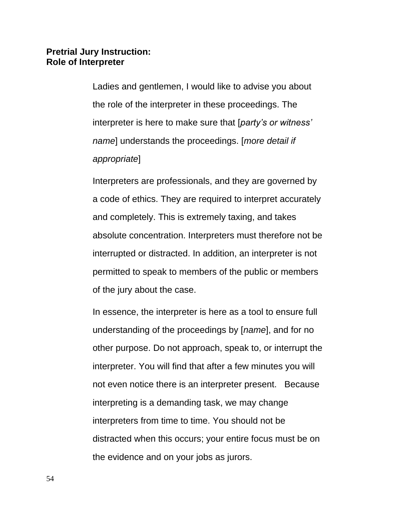### **Pretrial Jury Instruction: Role of Interpreter**

Ladies and gentlemen, I would like to advise you about the role of the interpreter in these proceedings. The interpreter is here to make sure that [*party's or witness' name*] understands the proceedings. [*more detail if appropriate*]

Interpreters are professionals, and they are governed by a code of ethics. They are required to interpret accurately and completely. This is extremely taxing, and takes absolute concentration. Interpreters must therefore not be interrupted or distracted. In addition, an interpreter is not permitted to speak to members of the public or members of the jury about the case.

In essence, the interpreter is here as a tool to ensure full understanding of the proceedings by [*name*], and for no other purpose. Do not approach, speak to, or interrupt the interpreter. You will find that after a few minutes you will not even notice there is an interpreter present. Because interpreting is a demanding task, we may change interpreters from time to time. You should not be distracted when this occurs; your entire focus must be on the evidence and on your jobs as jurors.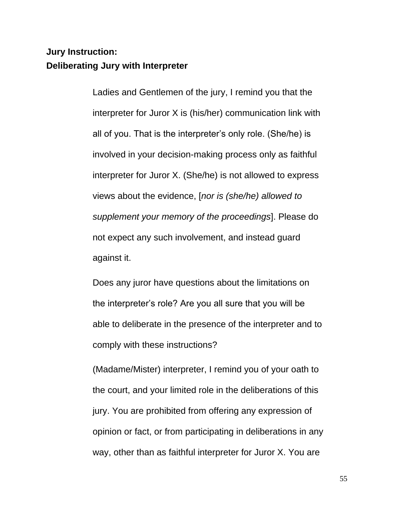## **Jury Instruction: Deliberating Jury with Interpreter**

Ladies and Gentlemen of the jury, I remind you that the interpreter for Juror X is (his/her) communication link with all of you. That is the interpreter's only role. (She/he) is involved in your decision-making process only as faithful interpreter for Juror X. (She/he) is not allowed to express views about the evidence, [*nor is (she/he) allowed to supplement your memory of the proceedings*]. Please do not expect any such involvement, and instead guard against it.

Does any juror have questions about the limitations on the interpreter's role? Are you all sure that you will be able to deliberate in the presence of the interpreter and to comply with these instructions?

(Madame/Mister) interpreter, I remind you of your oath to the court, and your limited role in the deliberations of this jury. You are prohibited from offering any expression of opinion or fact, or from participating in deliberations in any way, other than as faithful interpreter for Juror X. You are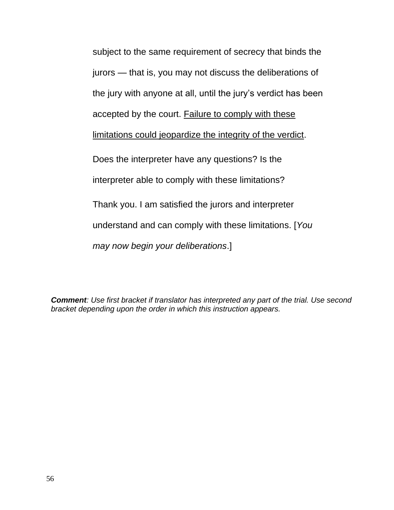subject to the same requirement of secrecy that binds the jurors — that is, you may not discuss the deliberations of the jury with anyone at all, until the jury's verdict has been accepted by the court. Failure to comply with these limitations could jeopardize the integrity of the verdict. Does the interpreter have any questions? Is the interpreter able to comply with these limitations? Thank you. I am satisfied the jurors and interpreter understand and can comply with these limitations. [*You may now begin your deliberations*.]

*Comment: Use first bracket if translator has interpreted any part of the trial. Use second bracket depending upon the order in which this instruction appears.*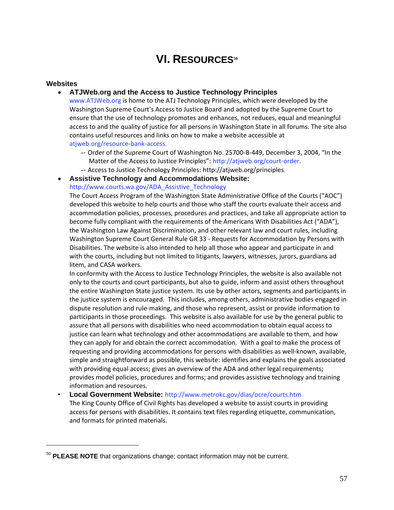# **VI. RESOURCES<sup>50</sup>**

#### <span id="page-62-0"></span>**Websites**

#### **ATJWeb.org and the Access to Justice Technology Principles**

www.ATJWeb.org is home to the ATJ Technology Principles, which were developed by the Washington Supreme Court's Access to Justice Board and adopted by the Supreme Court to ensure that the use of technology promotes and enhances, not reduces, equal and meaningful access to and the quality of justice for all persons in Washington State in all forums. The site also contains useful resources and links on how to make a website accessible at atjweb.org/resource-bank-access.

- -- Order of the Supreme Court of Washington No. 25700-B-449, December 3, 2004, "In the Matter of the Access to Justice Principles": http://atjweb.org/court-order.
- -- Access to Justice Technology Principles: [http://atjweb.org/principles.](http://atjweb.org/principles)

### **Assistive Technology and Accommodations Website:**

#### http://www.courts.wa.gov/ADA\_Assistive\_Technology

The Court Access Program of the Washington State Administrative Office of the Courts ("AOC") developed this website to help courts and those who staff the courts evaluate their access and accommodation policies, processes, procedures and practices, and take all appropriate action to become fully compliant with the requirements of the Americans With Disabilities Act ("ADA"), the Washington Law Against Discrimination, and other relevant law and court rules, including Washington Supreme Court General Rule GR 33 - Requests for Accommodation by Persons with Disabilities. The website is also intended to help all those who appear and participate in and with the courts, including but not limited to litigants, lawyers, witnesses, jurors, guardians ad litem, and CASA workers.

In conformity with the Access to Justice Technology Principles, the website is also available not only to the courts and court participants, but also to guide, inform and assist others throughout the entire Washington State justice system. Its use by other actors, segments and participants in the justice system is encouraged. This includes, among others, administrative bodies engaged in dispute resolution and rule-making, and those who represent, assist or provide information to participants in those proceedings. This website is also available for use by the general public to assure that all persons with disabilities who need accommodation to obtain equal access to justice can learn what technology and other accommodations are available to them, and how they can apply for and obtain the correct accommodation. With a goal to make the process of requesting and providing accommodations for persons with disabilities as well-known, available, simple and straightforward as possible, this website: identifies and explains the goals associated with providing equal access; gives an overview of the ADA and other legal requirements; provides model policies, procedures and forms; and provides assistive technology and training information and resources.

#### • **Local Government Website:** http://www.metrokc.gov/dias/ocre/courts.htm The King County Office of Civil Rights has developed a website to assist courts in providing access for persons with disabilities. It contains text files regarding etiquette, communication, and formats for printed materials.

<sup>50</sup> **PLEASE NOTE** that organizations change; contact information may not be current.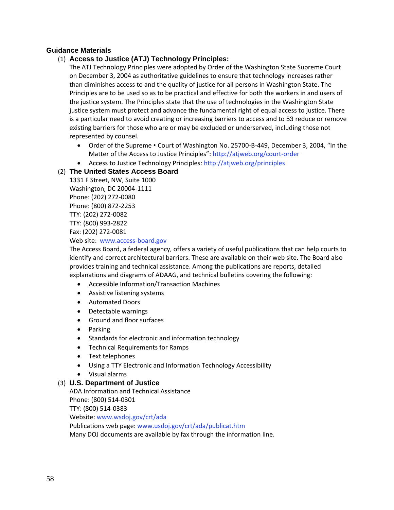#### **Guidance Materials**

#### (1) **Access to Justice (ATJ) Technology Principles:**

The ATJ Technology Principles were adopted by Order of the Washington State Supreme Court on December 3, 2004 as authoritative guidelines to ensure that technology increases rather than diminishes access to and the quality of justice for all persons in Washington State. The Principles are to be used so as to be practical and effective for both the workers in and users of the justice system. The Principles state that the use of technologies in the Washington State justice system must protect and advance the fundamental right of equal access to justice. There is a particular need to avoid creating or increasing barriers to access and to 53 reduce or remove existing barriers for those who are or may be excluded or underserved, including those not represented by counsel.

- Order of the Supreme Court of Washington No. 25700-B-449, December 3, 2004, "In the Matter of the Access to Justice Principles": http://atjweb.org/court-order
- Access to Justice Technology Principles: http://atjweb.org/principles

#### (2) **The United States Access Board**

1331 F Street, NW, Suite 1000 Washington, DC 20004-1111 Phone: (202) 272-0080 Phone: (800) 872-2253 TTY: (202) 272-0082 TTY: (800) 993-2822 Fax: (202) 272-0081 Web site: www.access-board.gov

The Access Board, a federal agency, offers a variety of useful publications that can help courts to identify and correct architectural barriers. These are available on their web site. The Board also provides training and technical assistance. Among the publications are reports, detailed explanations and diagrams of ADAAG, and technical bulletins covering the following:

- Accessible Information/Transaction Machines
- Assistive listening systems
- Automated Doors
- Detectable warnings
- Ground and floor surfaces
- Parking
- Standards for electronic and information technology
- Technical Requirements for Ramps
- Text telephones
- Using a TTY Electronic and Information Technology Accessibility
- Visual alarms

#### (3) **U.S. Department of Justice**

ADA Information and Technical Assistance Phone: (800) 514-0301 TTY: (800) 514-0383

Website: www.wsdoj.gov/crt/ada

Publications web page: www.usdoj.gov/crt/ada/publicat.htm

Many DOJ documents are available by fax through the information line.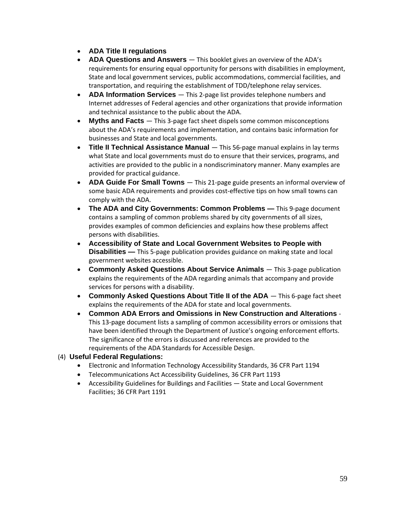- **ADA Title II regulations**
- **ADA Questions and Answers**  This booklet gives an overview of the ADA's requirements for ensuring equal opportunity for persons with disabilities in employment, State and local government services, public accommodations, commercial facilities, and transportation, and requiring the establishment of TDD/telephone relay services.
- **ADA Information Services**  This 2-page list provides telephone numbers and Internet addresses of Federal agencies and other organizations that provide information and technical assistance to the public about the ADA.
- **Myths and Facts**  This 3-page fact sheet dispels some common misconceptions about the ADA's requirements and implementation, and contains basic information for businesses and State and local governments.
- **Title II Technical Assistance Manual** This 56-page manual explains in lay terms what State and local governments must do to ensure that their services, programs, and activities are provided to the public in a nondiscriminatory manner. Many examples are provided for practical guidance.
- **ADA Guide For Small Towns**  This 21-page guide presents an informal overview of some basic ADA requirements and provides cost-effective tips on how small towns can comply with the ADA.
- **The ADA and City Governments: Common Problems —** This 9-page document contains a sampling of common problems shared by city governments of all sizes, provides examples of common deficiencies and explains how these problems affect persons with disabilities.
- **Accessibility of State and Local Government Websites to People with Disabilities —** This 5-page publication provides guidance on making state and local government websites accessible.
- **Commonly Asked Questions About Service Animals** This 3-page publication explains the requirements of the ADA regarding animals that accompany and provide services for persons with a disability.
- **Commonly Asked Questions About Title II of the ADA** This 6-page fact sheet explains the requirements of the ADA for state and local governments.
- **Common ADA Errors and Omissions in New Construction and Alterations**  This 13-page document lists a sampling of common accessibility errors or omissions that have been identified through the Department of Justice's ongoing enforcement efforts. The significance of the errors is discussed and references are provided to the requirements of the ADA Standards for Accessible Design.

#### (4) **Useful Federal Regulations:**

- Electronic and Information Technology Accessibility Standards, 36 CFR Part 1194
- Telecommunications Act Accessibility Guidelines, 36 CFR Part 1193
- Accessibility Guidelines for Buildings and Facilities State and Local Government Facilities; 36 CFR Part 1191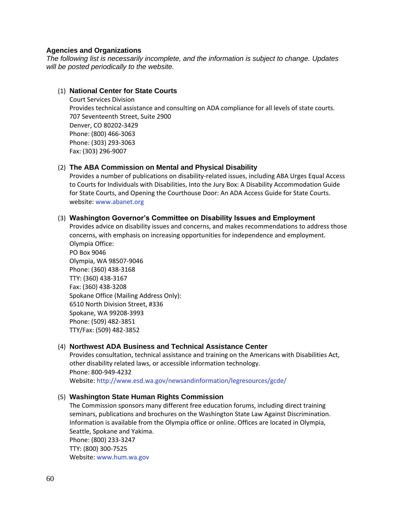#### **Agencies and Organizations**

*The following list is necessarily incomplete, and the information is subject to change. Updates will be posted periodically to the website.*

#### (1) **National Center for State Courts**

Court Services Division Provides technical assistance and consulting on ADA compliance for all levels of state courts. 707 Seventeenth Street, Suite 2900 Denver, CO 80202-3429 Phone: (800) 466-3063 Phone: (303) 293-3063 Fax: (303) 296-9007

#### (2) **The ABA Commission on Mental and Physical Disability**

Provides a number of publications on disability-related issues, including ABA Urges Equal Access to Courts for Individuals with Disabilities, Into the Jury Box: A Disability Accommodation Guide for State Courts, and Opening the Courthouse Door: An ADA Access Guide for State Courts. website: www.abanet.org

#### (3) **Washington Governor's Committee on Disability Issues and Employment**

Provides advice on disability issues and concerns, and makes recommendations to address those concerns, with emphasis on increasing opportunities for independence and employment. Olympia Office: PO Box 9046 Olympia, WA 98507-9046 Phone: (360) 438-3168 TTY: (360) 438-3167 Fax: (360) 438-3208 Spokane Office (Mailing Address Only): 6510 North Division Street, #336 Spokane, WA 99208-3993 Phone: (509) 482-3851 TTY/Fax: (509) 482-3852

#### (4) **Northwest ADA Business and Technical Assistance Center**

Provides consultation, technical assistance and training on the Americans with Disabilities Act, other disability related laws, or accessible information technology. Phone: 800-949-4232

Website: http://www.esd.wa.gov/newsandinformation/legresources/gcde/

#### (5) **Washington State Human Rights Commission**

The Commission sponsors many different free education forums, including direct training seminars, publications and brochures on the Washington State Law Against Discrimination. Information is available from the Olympia office or online. Offices are located in Olympia, Seattle, Spokane and Yakima.

Phone: (800) 233-3247 TTY: (800) 300-7525 Website: www.hum.wa.gov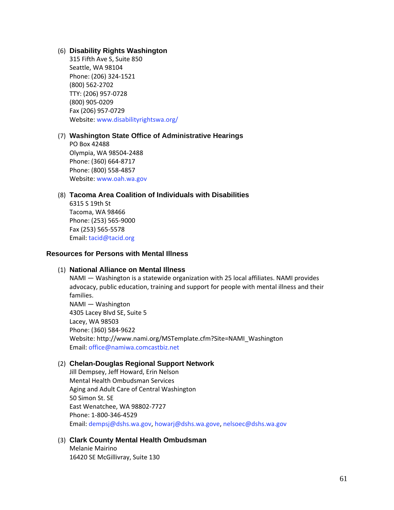#### (6) **Disability Rights Washington**

315 Fifth Ave S, Suite 850 Seattle, WA 98104 Phone: (206) 324-1521 (800) 562-2702 TTY: (206) 957-0728 (800) 905-0209 Fax (206) 957-0729 Website: www.disabilityrightswa.org/

#### (7) **Washington State Office of Administrative Hearings**

PO Box 42488 Olympia, WA 98504-2488 Phone: (360) 664-8717 Phone: (800) 558-4857 Website: www.oah.wa.gov

#### (8) **Tacoma Area Coalition of Individuals with Disabilities**

6315 S 19th St Tacoma, WA 98466 Phone: (253) 565-9000 Fax (253) 565-5578 Email: tacid@tacid.org

#### **Resources for Persons with Mental Illness**

#### (1) **National Alliance on Mental Illness**

NAMI — Washington is a statewide organization with 25 local affiliates. NAMI provides advocacy, public education, training and support for people with mental illness and their families. NAMI — Washington 4305 Lacey Blvd SE, Suite 5 Lacey, WA 98503 Phone: (360) 584-9622 Website: http://www.nami.org/MSTemplate.cfm?Site=NAMI\_Washington Email: office@namiwa.comcastbiz.net

#### (2) **Chelan-Douglas Regional Support Network**

Jill Dempsey, Jeff Howard, Erin Nelson Mental Health Ombudsman Services Aging and Adult Care of Central Washington 50 Simon St. SE East Wenatchee, WA 98802-7727 Phone: 1-800-346-4529 Email: dempsj@dshs.wa.gov, howarj@dshs.wa.gove, nelsoec@dshs.wa.gov

#### (3) **Clark County Mental Health Ombudsman**

Melanie Mairino 16420 SE McGillivray, Suite 130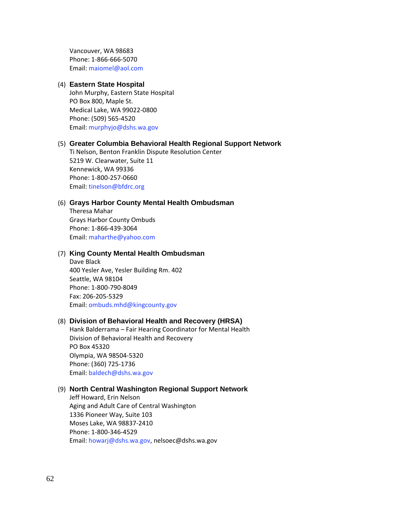Vancouver, WA 98683 Phone: 1-866-666-5070 Email: maiomel@aol.com

### (4) **Eastern State Hospital** John Murphy, Eastern State Hospital PO Box 800, Maple St.

Medical Lake, WA 99022-0800 Phone: (509) 565-4520 Email: murphyjo@dshs.wa.gov

#### (5) **Greater Columbia Behavioral Health Regional Support Network**

Ti Nelson, Benton Franklin Dispute Resolution Center 5219 W. Clearwater, Suite 11 Kennewick, WA 99336 Phone: 1-800-257-0660 Email: tinelson@bfdrc.org

#### (6) **Grays Harbor County Mental Health Ombudsman**

Theresa Mahar Grays Harbor County Ombuds Phone: 1-866-439-3064 Email: maharthe@yahoo.com

#### (7) **King County Mental Health Ombudsman**

Dave Black 400 Yesler Ave, Yesler Building Rm. 402 Seattle, WA 98104 Phone: 1-800-790-8049 Fax: 206-205-5329 Email: ombuds.mhd@kingcounty.gov

#### (8) **Division of Behavioral Health and Recovery (HRSA)**

Hank Balderrama – Fair Hearing Coordinator for Mental Health Division of Behavioral Health and Recovery PO Box 45320 Olympia, WA 98504-5320 Phone: (360) 725-1736 Email: baldech@dshs.wa.gov

#### (9) **North Central Washington Regional Support Network**

Jeff Howard, Erin Nelson Aging and Adult Care of Central Washington 1336 Pioneer Way, Suite 103 Moses Lake, WA 98837-2410 Phone: 1-800-346-4529 Email: howarj@dshs.wa.gov, [nelsoec@dshs.wa.gov](mailto:nelsoec@dshs.wa.gov)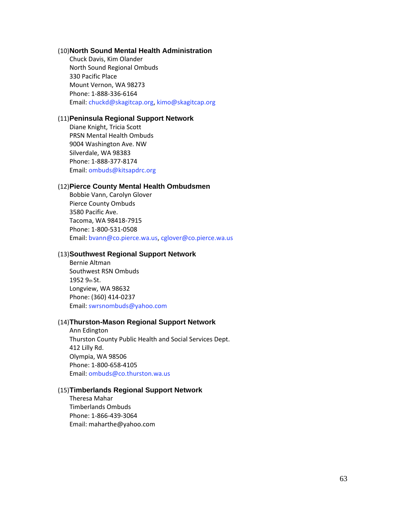#### (10)**North Sound Mental Health Administration**

Chuck Davis, Kim Olander North Sound Regional Ombuds 330 Pacific Place Mount Vernon, WA 98273 Phone: 1-888-336-6164 Email: chuckd@skagitcap.org, kimo@skagitcap.org

#### (11)**Peninsula Regional Support Network**

Diane Knight, Tricia Scott PRSN Mental Health Ombuds 9004 Washington Ave. NW Silverdale, WA 98383 Phone: 1-888-377-8174 Email: ombuds@kitsapdrc.org

#### (12)**Pierce County Mental Health Ombudsmen**

Bobbie Vann, Carolyn Glover Pierce County Ombuds 3580 Pacific Ave. Tacoma, WA 98418-7915 Phone: 1-800-531-0508 Email: bvann@co.pierce.wa.us, cglover@co.pierce.wa.us

#### (13)**Southwest Regional Support Network**

Bernie Altman Southwest RSN Ombuds 1952 9th St. Longview, WA 98632 Phone: (360) 414-0237 Email: swrsnombuds@yahoo.com

#### (14)**Thurston-Mason Regional Support Network**

Ann Edington Thurston County Public Health and Social Services Dept. 412 Lilly Rd. Olympia, WA 98506 Phone: 1-800-658-4105 Email: ombuds@co.thurston.wa.us

#### (15)**Timberlands Regional Support Network**

Theresa Mahar Timberlands Ombuds Phone: 1-866-439-3064 Email: [maharthe@yahoo.com](mailto:maharthe@yahoo.com)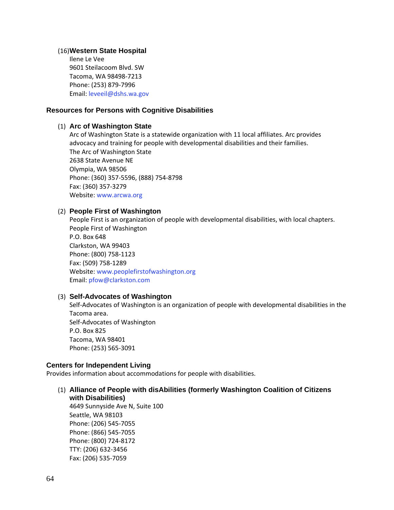#### (16)**Western State Hospital**

Ilene Le Vee 9601 Steilacoom Blvd. SW Tacoma, WA 98498-7213 Phone: (253) 879-7996 Email: leveeil@dshs.wa.gov

#### **Resources for Persons with Cognitive Disabilities**

#### (1) **Arc of Washington State**

Arc of Washington State is a statewide organization with 11 local affiliates. Arc provides advocacy and training for people with developmental disabilities and their families. The Arc of Washington State 2638 State Avenue NE Olympia, WA 98506 Phone: (360) 357-5596, (888) 754-8798 Fax: (360) 357-3279 Website: www.arcwa.org

#### (2) **People First of Washington**

People First is an organization of people with developmental disabilities, with local chapters. People First of Washington P.O. Box 648 Clarkston, WA 99403 Phone: (800) 758-1123 Fax: (509) 758-1289 Website: www.peoplefirstofwashington.org Email: pfow@clarkston.com

#### (3) **Self-Advocates of Washington**

Self-Advocates of Washington is an organization of people with developmental disabilities in the Tacoma area. Self-Advocates of Washington P.O. Box 825 Tacoma, WA 98401 Phone: (253) 565-3091

#### **Centers for Independent Living**

Provides information about accommodations for people with disabilities.

(1) **Alliance of People with disAbilities (formerly Washington Coalition of Citizens with Disabilities)**

4649 Sunnyside Ave N, Suite 100 Seattle, WA 98103 Phone: (206) 545-7055 Phone: (866) 545-7055 Phone: (800) 724-8172 TTY: (206) 632-3456 Fax: (206) 535-7059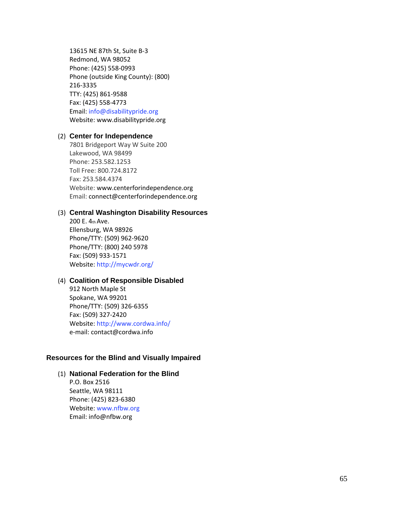13615 NE 87th St, Suite B-3 Redmond, WA 98052 Phone: (425) 558-0993 Phone (outside King County): (800) 216-3335 TTY: (425) 861-9588 Fax: (425) 558-4773 Email: info@disabilitypride.org Website: [www.disabilitypride.org](http://www.disabilitypride.org/)

#### (2) **Center for Independence**

7801 Bridgeport Way W Suite 200 Lakewood, WA 98499 Phone: 253.582.1253 Toll Free: 800.724.8172 Fax: 253.584.4374 Website: [www.centerforindependence.org](http://www.centerforindependence.org/www.centerforindependence.org) Email: [connect@centerforindependence.org](email:connect@centerforindependence.org)

#### (3) **Central Washington Disability Resources**

200 E. 4th Ave. Ellensburg, WA 98926 Phone/TTY: (509) 962-9620 Phone/TTY: (800) 240 5978 Fax: (509) 933-1571 Website: http://mycwdr.org/

#### (4) **Coalition of Responsible Disabled**

912 North Maple St Spokane, WA 99201 Phone/TTY: (509) 326-6355 Fax: (509) 327-2420 Website: http://www.cordwa.info/ e-mail: [contact@cordwa.info](mailto:contact@cordwa.info)

#### **Resources for the Blind and Visually Impaired**

#### (1) **National Federation for the Blind**

P.O. Box 2516 Seattle, WA 98111 Phone: (425) 823-6380 Website: www.nfbw.org Email: [info@nfbw.org](mailto:info@nfbw.org)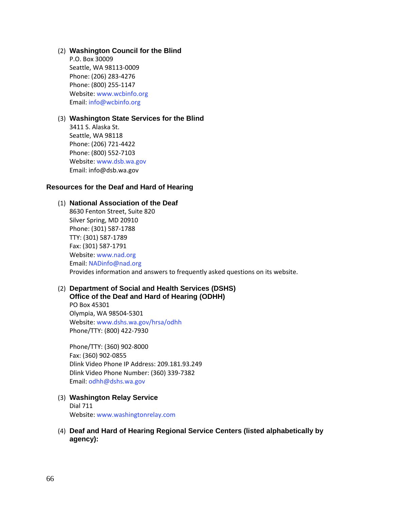#### (2) **Washington Council for the Blind**

P.O. Box 30009 Seattle, WA 98113-0009 Phone: (206) 283-4276 Phone: (800) 255-1147 Website: www.wcbinfo.org Email: info@wcbinfo.org

#### (3) **Washington State Services for the Blind**

3411 S. Alaska St. Seattle, WA 98118 Phone: (206) 721-4422 Phone: (800) 552-7103 Website: www.dsb.wa.gov Email: [info@dsb.wa.gov](mailto:info@dsb.wa.gov)

#### **Resources for the Deaf and Hard of Hearing**

#### (1) **National Association of the Deaf**

8630 Fenton Street, Suite 820 Silver Spring, MD 20910 Phone: (301) 587-1788 TTY: (301) 587-1789 Fax: (301) 587-1791 Website: www.nad.org Email: NADinfo@nad.org Provides information and answers to frequently asked questions on its website.

#### (2) **Department of Social and Health Services (DSHS) Office of the Deaf and Hard of Hearing (ODHH)**

PO Box 45301 Olympia, WA 98504-5301 Website: www.dshs.wa.gov/hrsa/odhh Phone/TTY: (800) 422-7930

Phone/TTY: (360) 902-8000 Fax: (360) 902-0855 Dlink Video Phone IP Address: 209.181.93.249 Dlink Video Phone Number: (360) 339-7382 Email: odhh@dshs.wa.gov

#### (3) **Washington Relay Service**

Dial 711 Website: www.washingtonrelay.com

(4) **Deaf and Hard of Hearing Regional Service Centers (listed alphabetically by agency):**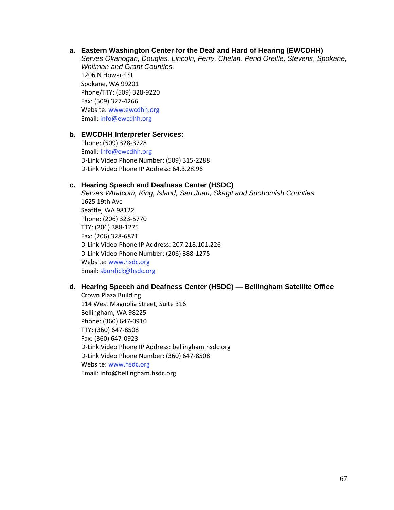#### **a. Eastern Washington Center for the Deaf and Hard of Hearing (EWCDHH)**

*Serves Okanogan, Douglas, Lincoln, Ferry, Chelan, Pend Oreille, Stevens, Spokane, Whitman and Grant Counties.* 1206 N Howard St Spokane, WA 99201 Phone/TTY: (509) 328-9220 Fax: (509) 327-4266 Website: www.ewcdhh.org Email: info@ewcdhh.org

#### **b. EWCDHH Interpreter Services:**

Phone: (509) 328-3728 Email: Info@ewcdhh.org D-Link Video Phone Number: (509) 315-2288 D-Link Video Phone IP Address: 64.3.28.96

#### **c. Hearing Speech and Deafness Center (HSDC)**

*Serves Whatcom, King, Island, San Juan, Skagit and Snohomish Counties.* 1625 19th Ave Seattle, WA 98122 Phone: (206) 323-5770 TTY: (206) 388-1275 Fax: (206) 328-6871 D-Link Video Phone IP Address: 207.218.101.226 D-Link Video Phone Number: (206) 388-1275 Website: www.hsdc.org Email: sburdick@hsdc.org

# **d. Hearing Speech and Deafness Center (HSDC) — Bellingham Satellite Office**

Crown Plaza Building 114 West Magnolia Street, Suite 316 Bellingham, WA 98225 Phone: (360) 647-0910 TTY: (360) 647-8508 Fax: (360) 647-0923 D-Link Video Phone IP Address: bellingham.hsdc.org D-Link Video Phone Number: (360) 647-8508 Website: www.hsdc.org Email: [info@bellingham.hsdc.org](mailto:info@bellingham.hsdc.org)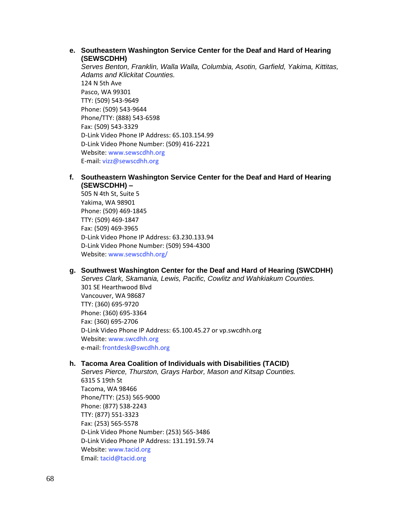#### **e. Southeastern Washington Service Center for the Deaf and Hard of Hearing (SEWSCDHH)**

*Serves Benton, Franklin, Walla Walla, Columbia, Asotin, Garfield, Yakima, Kittitas, Adams and Klickitat Counties.* 124 N 5th Ave Pasco, WA 99301 TTY: (509) 543-9649 Phone: (509) 543-9644 Phone/TTY: (888) 543-6598 Fax: (509) 543-3329 D-Link Video Phone IP Address: 65.103.154.99 D-Link Video Phone Number: (509) 416-2221 Website: www.sewscdhh.org E-mail: vizz@sewscdhh.org

#### **f. Southeastern Washington Service Center for the Deaf and Hard of Hearing (SEWSCDHH) –**

505 N 4th St, Suite 5 Yakima, WA 98901 Phone: (509) 469-1845 TTY: (509) 469-1847 Fax: (509) 469-3965 D-Link Video Phone IP Address: 63.230.133.94 D-Link Video Phone Number: (509) 594-4300 Website: www.sewscdhh.org/

#### **g. Southwest Washington Center for the Deaf and Hard of Hearing (SWCDHH)**

*Serves Clark, Skamania, Lewis, Pacific, Cowlitz and Wahkiakum Counties.* 301 SE Hearthwood Blvd Vancouver, WA 98687 TTY: (360) 695-9720 Phone: (360) 695-3364 Fax: (360) 695-2706 D-Link Video Phone IP Address: 65.100.45.27 or vp.swcdhh.org Website: www.swcdhh.org e-mail: frontdesk@swcdhh.org

#### **h. Tacoma Area Coalition of Individuals with Disabilities (TACID)**

*Serves Pierce, Thurston, Grays Harbor, Mason and Kitsap Counties.* 6315 S 19th St Tacoma, WA 98466 Phone/TTY: (253) 565-9000 Phone: (877) 538-2243 TTY: (877) 551-3323 Fax: (253) 565-5578 D-Link Video Phone Number: (253) 565-3486 D-Link Video Phone IP Address: 131.191.59.74 Website: www.tacid.org Email: tacid@tacid.org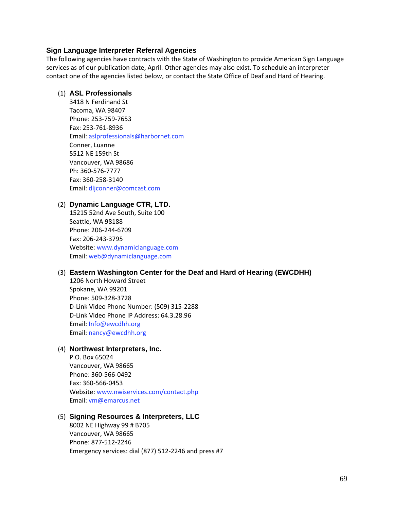#### **Sign Language Interpreter Referral Agencies**

The following agencies have contracts with the State of Washington to provide American Sign Language services as of our publication date, April. Other agencies may also exist. To schedule an interpreter contact one of the agencies listed below, or contact the State Office of Deaf and Hard of Hearing.

#### (1) **ASL Professionals**

3418 N Ferdinand St Tacoma, WA 98407 Phone: 253-759-7653 Fax: 253-761-8936 Email: aslprofessionals@harbornet.com Conner, Luanne 5512 NE 159th St Vancouver, WA 98686 Ph: 360-576-7777 Fax: 360-258-3140 Email: dljconner@comcast.com

#### (2) **Dynamic Language CTR, LTD.**

15215 52nd Ave South, Suite 100 Seattle, WA 98188 Phone: 206-244-6709 Fax: 206-243-3795 Website: www.dynamiclanguage.com Email: web@dynamiclanguage.com

#### (3) **Eastern Washington Center for the Deaf and Hard of Hearing (EWCDHH)**

1206 North Howard Street Spokane, WA 99201 Phone: 509-328-3728 D-Link Video Phone Number: (509) 315-2288 D-Link Video Phone IP Address: 64.3.28.96 Email: Info@ewcdhh.org Email: nancy@ewcdhh.org

#### (4) **Northwest Interpreters, Inc.**

P.O. Box 65024 Vancouver, WA 98665 Phone: 360-566-0492 Fax: 360-566-0453 Website: www.nwiservices.com/contact.php Email: vm@emarcus.net

#### (5) **Signing Resources & Interpreters, LLC**

8002 NE Highway 99 # B705 Vancouver, WA 98665 Phone: 877-512-2246 Emergency services: dial (877) 512-2246 and press #7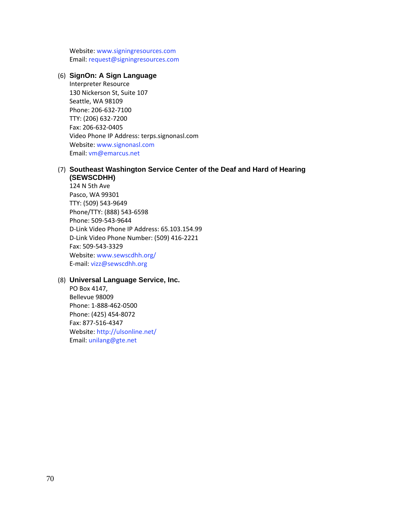Website: www.signingresources.com Email: request@signingresources.com

#### (6) **SignOn: A Sign Language**

Interpreter Resource 130 Nickerson St, Suite 107 Seattle, WA 98109 Phone: 206-632-7100 TTY: (206) 632-7200 Fax: 206-632-0405 Video Phone IP Address: terps.signonasl.com Website: www.signonasl.com Email: vm@emarcus.net

# (7) **Southeast Washington Service Center of the Deaf and Hard of Hearing**

**(SEWSCDHH)** 124 N 5th Ave Pasco, WA 99301 TTY: (509) 543-9649 Phone/TTY: (888) 543-6598 Phone: 509-543-9644 D-Link Video Phone IP Address: 65.103.154.99 D-Link Video Phone Number: (509) 416-2221 Fax: 509-543-3329 Website: www.sewscdhh.org/ E-mail: vizz@sewscdhh.org

# (8) **Universal Language Service, Inc.**

PO Box 4147, Bellevue 98009 Phone: 1-888-462-0500 Phone: (425) 454-8072 Fax: 877-516-4347 Website: http://ulsonline.net/ Email: unilang@gte.net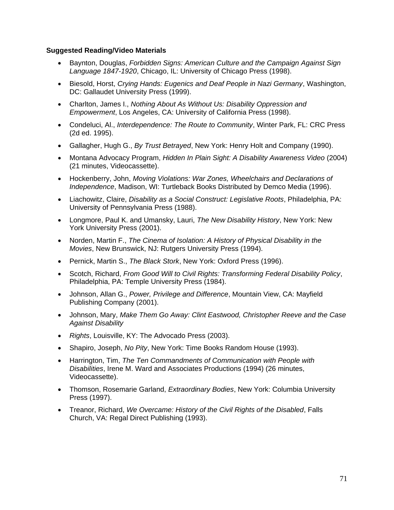### **Suggested Reading/Video Materials**

- Baynton, Douglas, *Forbidden Signs: American Culture and the Campaign Against Sign Language 1847-1920*, Chicago, IL: University of Chicago Press (1998).
- Biesold, Horst, *Crying Hands: Eugenics and Deaf People in Nazi Germany*, Washington, DC: Gallaudet University Press (1999).
- Charlton, James I., *Nothing About As Without Us: Disability Oppression and Empowerment*, Los Angeles, CA: University of California Press (1998).
- Condeluci, Al., *Interdependence: The Route to Community*, Winter Park, FL: CRC Press (2d ed. 1995).
- Gallagher, Hugh G., *By Trust Betrayed*, New York: Henry Holt and Company (1990).
- Montana Advocacy Program, *Hidden In Plain Sight: A Disability Awareness Video* (2004) (21 minutes, Videocassette).
- Hockenberry, John, *Moving Violations: War Zones, Wheelchairs and Declarations of Independence*, Madison, WI: Turtleback Books Distributed by Demco Media (1996).
- Liachowitz, Claire, *Disability as a Social Construct: Legislative Roots*, Philadelphia, PA: University of Pennsylvania Press (1988).
- Longmore, Paul K. and Umansky, Lauri, *The New Disability History*, New York: New York University Press (2001).
- Norden, Martin F., *The Cinema of Isolation: A History of Physical Disability in the Movies*, New Brunswick, NJ: Rutgers University Press (1994).
- Pernick, Martin S., *The Black Stork*, New York: Oxford Press (1996).
- Scotch, Richard, *From Good Will to Civil Rights: Transforming Federal Disability Policy*, Philadelphia, PA: Temple University Press (1984).
- Johnson, Allan G., *Power, Privilege and Difference*, Mountain View, CA: Mayfield Publishing Company (2001).
- Johnson, Mary, *Make Them Go Away: Clint Eastwood, Christopher Reeve and the Case Against Disability*
- *Rights*, Louisville, KY: The Advocado Press (2003).
- Shapiro, Joseph, *No Pity*, New York: Time Books Random House (1993).
- Harrington, Tim, *The Ten Commandments of Communication with People with Disabilities*, Irene M. Ward and Associates Productions (1994) (26 minutes, Videocassette).
- Thomson, Rosemarie Garland, *Extraordinary Bodies*, New York: Columbia University Press (1997).
- Treanor, Richard, *We Overcame: History of the Civil Rights of the Disabled*, Falls Church, VA: Regal Direct Publishing (1993).